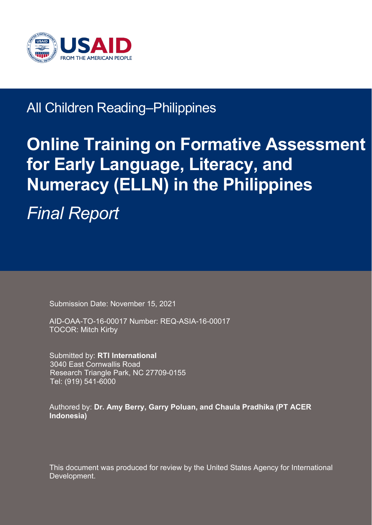

## All Children Reading–Philippines

# **Online Training on Formative Assessment for Early Language, Literacy, and Numeracy (ELLN) in the Philippines**

*Final Report*

Submission Date: November 15, 2021

AID-OAA-TO-16-00017 Number: REQ-ASIA-16-00017 TOCOR: Mitch Kirby

Submitted by: **RTI International** 3040 East Cornwallis Road Research Triangle Park, NC 27709-0155 Tel: (919) 541-6000

Authored by: **Dr. Amy Berry, Garry Poluan, and Chaula Pradhika (PT ACER Indonesia)**

This document was produced for review by the United States Agency for International Development.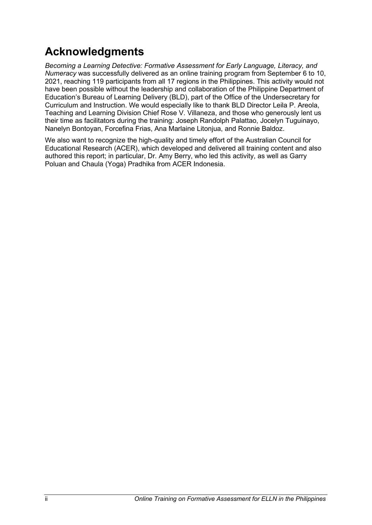## <span id="page-1-0"></span>**Acknowledgments**

*Becoming a Learning Detective: Formative Assessment for Early Language, Literacy, and Numeracy* was successfully delivered as an online training program from September 6 to 10, 2021, reaching 119 participants from all 17 regions in the Philippines. This activity would not have been possible without the leadership and collaboration of the Philippine Department of Education's Bureau of Learning Delivery (BLD), part of the Office of the Undersecretary for Curriculum and Instruction. We would especially like to thank BLD Director Leila P. Areola, Teaching and Learning Division Chief Rose V. Villaneza, and those who generously lent us their time as facilitators during the training: Joseph Randolph Palattao, Jocelyn Tuguinayo, Nanelyn Bontoyan, Forcefina Frias, Ana Marlaine Litonjua, and Ronnie Baldoz.

We also want to recognize the high-quality and timely effort of the Australian Council for Educational Research (ACER), which developed and delivered all training content and also authored this report; in particular, Dr. Amy Berry, who led this activity, as well as Garry Poluan and Chaula (Yoga) Pradhika from ACER Indonesia.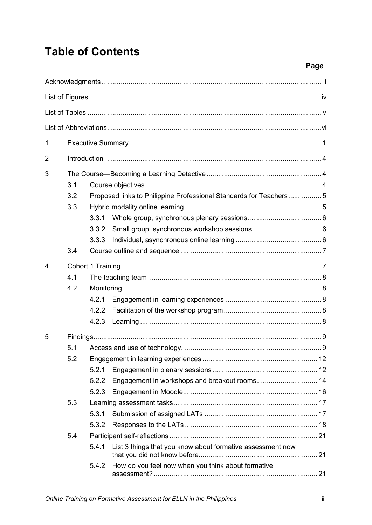## **Table of Contents**

| 1 |                          |                         |                                                                   |  |
|---|--------------------------|-------------------------|-------------------------------------------------------------------|--|
| 2 |                          |                         |                                                                   |  |
| 3 | 3.1<br>3.2<br>3.3<br>3.4 | 3.3.1<br>3.3.2<br>3.3.3 | Proposed links to Philippine Professional Standards for Teachers5 |  |
| 4 |                          |                         |                                                                   |  |
|   | 4.1                      |                         |                                                                   |  |
|   | 4.2                      |                         |                                                                   |  |
|   |                          | 4.2.1                   |                                                                   |  |
|   |                          | 4.2.2                   |                                                                   |  |
|   |                          | 4.2.3                   |                                                                   |  |
| 5 |                          |                         |                                                                   |  |
|   | 5.1                      |                         |                                                                   |  |
|   | 5.2                      |                         |                                                                   |  |
|   |                          | 5.2.1                   |                                                                   |  |
|   |                          | 5.2.2                   | Engagement in workshops and breakout rooms 14                     |  |
|   |                          | 5.2.3                   |                                                                   |  |
|   | 5.3                      |                         |                                                                   |  |
|   |                          | 5.3.1                   |                                                                   |  |
|   |                          | 5.3.2                   |                                                                   |  |
|   | 5.4                      |                         |                                                                   |  |
|   |                          | 5.4.1                   | List 3 things that you know about formative assessment now        |  |
|   |                          | 5.4.2                   | How do you feel now when you think about formative                |  |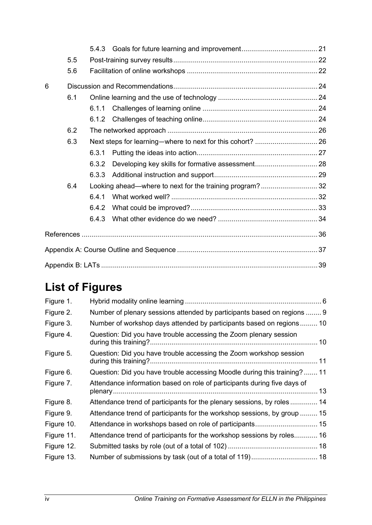|   | 5.5 |       |                                                         |  |  |  |
|---|-----|-------|---------------------------------------------------------|--|--|--|
|   | 5.6 |       |                                                         |  |  |  |
| 6 |     |       |                                                         |  |  |  |
|   | 6.1 |       |                                                         |  |  |  |
|   |     | 6.1.1 |                                                         |  |  |  |
|   |     |       |                                                         |  |  |  |
|   | 6.2 |       |                                                         |  |  |  |
|   | 6.3 |       |                                                         |  |  |  |
|   |     | 6.3.1 |                                                         |  |  |  |
|   |     | 6.3.2 |                                                         |  |  |  |
|   |     | 6.3.3 |                                                         |  |  |  |
|   | 6.4 |       | Looking ahead—where to next for the training program?32 |  |  |  |
|   |     | 6.4.1 |                                                         |  |  |  |
|   |     | 6.4.2 |                                                         |  |  |  |
|   |     | 6.4.3 |                                                         |  |  |  |
|   |     |       |                                                         |  |  |  |
|   |     |       |                                                         |  |  |  |
|   |     |       |                                                         |  |  |  |

## <span id="page-3-0"></span>**List of Figures**

| Figure 1.  |                                                                          |
|------------|--------------------------------------------------------------------------|
| Figure 2.  | Number of plenary sessions attended by participants based on regions  9  |
| Figure 3.  | Number of workshop days attended by participants based on regions 10     |
| Figure 4.  | Question: Did you have trouble accessing the Zoom plenary session        |
| Figure 5.  | Question: Did you have trouble accessing the Zoom workshop session       |
| Figure 6.  | Question: Did you have trouble accessing Moodle during this training? 11 |
| Figure 7.  | Attendance information based on role of participants during five days of |
| Figure 8.  | Attendance trend of participants for the plenary sessions, by roles 14   |
| Figure 9.  | Attendance trend of participants for the workshop sessions, by group  15 |
| Figure 10. |                                                                          |
| Figure 11. | Attendance trend of participants for the workshop sessions by roles 16   |
| Figure 12. |                                                                          |
| Figure 13. |                                                                          |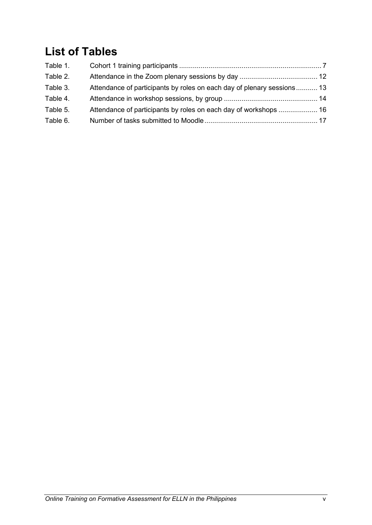## <span id="page-4-0"></span>**List of Tables**

| Attendance of participants by roles on each day of plenary sessions 13 |  |
|------------------------------------------------------------------------|--|
|                                                                        |  |
|                                                                        |  |
|                                                                        |  |
|                                                                        |  |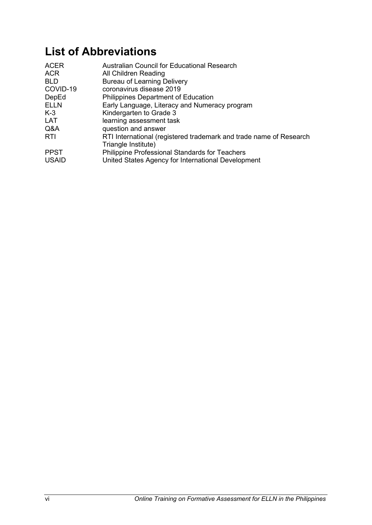## <span id="page-5-0"></span>**List of Abbreviations**

| <b>ACER</b><br><b>ACR</b> | Australian Council for Educational Research<br>All Children Reading                       |
|---------------------------|-------------------------------------------------------------------------------------------|
| <b>BLD</b>                | <b>Bureau of Learning Delivery</b>                                                        |
| COVID-19                  | coronavirus disease 2019                                                                  |
| DepEd                     | <b>Philippines Department of Education</b>                                                |
| <b>ELLN</b>               | Early Language, Literacy and Numeracy program                                             |
| $K-3$                     | Kindergarten to Grade 3                                                                   |
| <b>LAT</b>                | learning assessment task                                                                  |
| Q&A                       | question and answer                                                                       |
| <b>RTI</b>                | RTI International (registered trademark and trade name of Research<br>Triangle Institute) |
| <b>PPST</b>               | Philippine Professional Standards for Teachers                                            |
| <b>USAID</b>              | United States Agency for International Development                                        |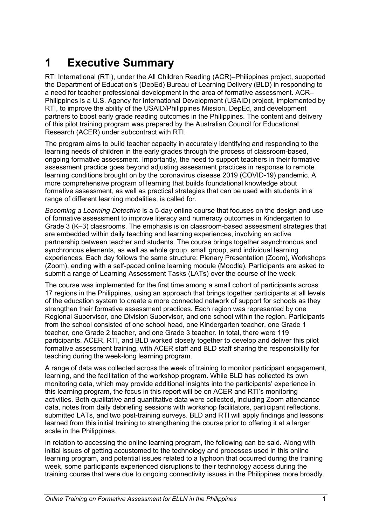## <span id="page-6-0"></span>**1 Executive Summary**

RTI International (RTI), under the All Children Reading (ACR)–Philippines project, supported the Department of Education's (DepEd) Bureau of Learning Delivery (BLD) in responding to a need for teacher professional development in the area of formative assessment. ACR– Philippines is a U.S. Agency for International Development (USAID) project, implemented by RTI, to improve the ability of the USAID/Philippines Mission, DepEd, and development partners to boost early grade reading outcomes in the Philippines. The content and delivery of this pilot training program was prepared by the Australian Council for Educational Research (ACER) under subcontract with RTI.

The program aims to build teacher capacity in accurately identifying and responding to the learning needs of children in the early grades through the process of classroom-based, ongoing formative assessment. Importantly, the need to support teachers in their formative assessment practice goes beyond adjusting assessment practices in response to remote learning conditions brought on by the coronavirus disease 2019 (COVID-19) pandemic. A more comprehensive program of learning that builds foundational knowledge about formative assessment, as well as practical strategies that can be used with students in a range of different learning modalities, is called for.

*Becoming a Learning Detective* is a 5-day online course that focuses on the design and use of formative assessment to improve literacy and numeracy outcomes in Kindergarten to Grade 3 (K–3) classrooms. The emphasis is on classroom-based assessment strategies that are embedded within daily teaching and learning experiences, involving an active partnership between teacher and students. The course brings together asynchronous and synchronous elements, as well as whole group, small group, and individual learning experiences. Each day follows the same structure: Plenary Presentation (Zoom), Workshops (Zoom), ending with a self-paced online learning module (Moodle). Participants are asked to submit a range of Learning Assessment Tasks (LATs) over the course of the week.

The course was implemented for the first time among a small cohort of participants across 17 regions in the Philippines, using an approach that brings together participants at all levels of the education system to create a more connected network of support for schools as they strengthen their formative assessment practices. Each region was represented by one Regional Supervisor, one Division Supervisor, and one school within the region. Participants from the school consisted of one school head, one Kindergarten teacher, one Grade 1 teacher, one Grade 2 teacher, and one Grade 3 teacher. In total, there were 119 participants. ACER, RTI, and BLD worked closely together to develop and deliver this pilot formative assessment training, with ACER staff and BLD staff sharing the responsibility for teaching during the week-long learning program.

A range of data was collected across the week of training to monitor participant engagement, learning, and the facilitation of the workshop program. While BLD has collected its own monitoring data, which may provide additional insights into the participants' experience in this learning program, the focus in this report will be on ACER and RTI's monitoring activities. Both qualitative and quantitative data were collected, including Zoom attendance data, notes from daily debriefing sessions with workshop facilitators, participant reflections, submitted LATs, and two post-training surveys. BLD and RTI will apply findings and lessons learned from this initial training to strengthening the course prior to offering it at a larger scale in the Philippines.

In relation to accessing the online learning program, the following can be said. Along with initial issues of getting accustomed to the technology and processes used in this online learning program, and potential issues related to a typhoon that occurred during the training week, some participants experienced disruptions to their technology access during the training course that were due to ongoing connectivity issues in the Philippines more broadly.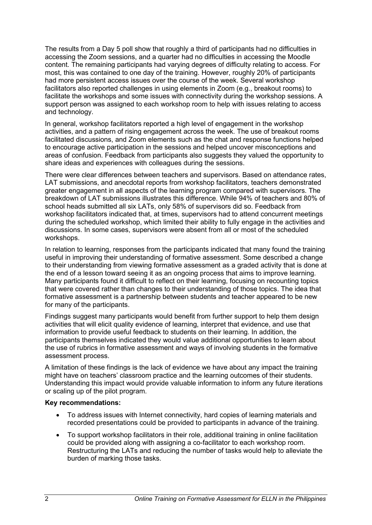The results from a Day 5 poll show that roughly a third of participants had no difficulties in accessing the Zoom sessions, and a quarter had no difficulties in accessing the Moodle content. The remaining participants had varying degrees of difficulty relating to access. For most, this was contained to one day of the training. However, roughly 20% of participants had more persistent access issues over the course of the week. Several workshop facilitators also reported challenges in using elements in Zoom (e.g., breakout rooms) to facilitate the workshops and some issues with connectivity during the workshop sessions. A support person was assigned to each workshop room to help with issues relating to access and technology.

In general, workshop facilitators reported a high level of engagement in the workshop activities, and a pattern of rising engagement across the week. The use of breakout rooms facilitated discussions, and Zoom elements such as the chat and response functions helped to encourage active participation in the sessions and helped uncover misconceptions and areas of confusion. Feedback from participants also suggests they valued the opportunity to share ideas and experiences with colleagues during the sessions.

There were clear differences between teachers and supervisors. Based on attendance rates, LAT submissions, and anecdotal reports from workshop facilitators, teachers demonstrated greater engagement in all aspects of the learning program compared with supervisors. The breakdown of LAT submissions illustrates this difference. While 94% of teachers and 80% of school heads submitted all six LATs, only 58% of supervisors did so. Feedback from workshop facilitators indicated that, at times, supervisors had to attend concurrent meetings during the scheduled workshop, which limited their ability to fully engage in the activities and discussions. In some cases, supervisors were absent from all or most of the scheduled workshops.

In relation to learning, responses from the participants indicated that many found the training useful in improving their understanding of formative assessment. Some described a change to their understanding from viewing formative assessment as a graded activity that is done at the end of a lesson toward seeing it as an ongoing process that aims to improve learning. Many participants found it difficult to reflect on their learning, focusing on recounting topics that were covered rather than changes to their understanding of those topics. The idea that formative assessment is a partnership between students and teacher appeared to be new for many of the participants.

Findings suggest many participants would benefit from further support to help them design activities that will elicit quality evidence of learning, interpret that evidence, and use that information to provide useful feedback to students on their learning. In addition, the participants themselves indicated they would value additional opportunities to learn about the use of rubrics in formative assessment and ways of involving students in the formative assessment process.

A limitation of these findings is the lack of evidence we have about any impact the training might have on teachers' classroom practice and the learning outcomes of their students. Understanding this impact would provide valuable information to inform any future iterations or scaling up of the pilot program.

#### **Key recommendations:**

- To address issues with Internet connectivity, hard copies of learning materials and recorded presentations could be provided to participants in advance of the training.
- To support workshop facilitators in their role, additional training in online facilitation could be provided along with assigning a co-facilitator to each workshop room. Restructuring the LATs and reducing the number of tasks would help to alleviate the burden of marking those tasks.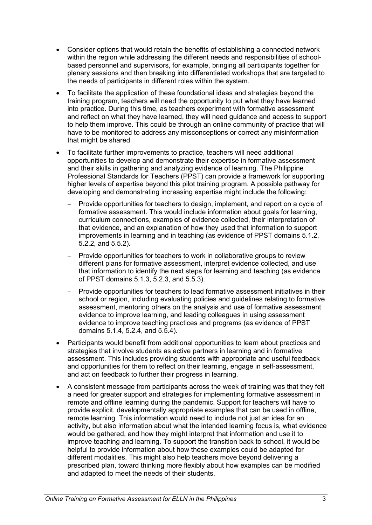- Consider options that would retain the benefits of establishing a connected network within the region while addressing the different needs and responsibilities of schoolbased personnel and supervisors, for example, bringing all participants together for plenary sessions and then breaking into differentiated workshops that are targeted to the needs of participants in different roles within the system.
- To facilitate the application of these foundational ideas and strategies beyond the training program, teachers will need the opportunity to put what they have learned into practice. During this time, as teachers experiment with formative assessment and reflect on what they have learned, they will need guidance and access to support to help them improve. This could be through an online community of practice that will have to be monitored to address any misconceptions or correct any misinformation that might be shared.
- To facilitate further improvements to practice, teachers will need additional opportunities to develop and demonstrate their expertise in formative assessment and their skills in gathering and analyzing evidence of learning. The Philippine Professional Standards for Teachers (PPST) can provide a framework for supporting higher levels of expertise beyond this pilot training program. A possible pathway for developing and demonstrating increasing expertise might include the following:
	- − Provide opportunities for teachers to design, implement, and report on a cycle of formative assessment. This would include information about goals for learning, curriculum connections, examples of evidence collected, their interpretation of that evidence, and an explanation of how they used that information to support improvements in learning and in teaching (as evidence of PPST domains 5.1.2, 5.2.2, and 5.5.2).
	- − Provide opportunities for teachers to work in collaborative groups to review different plans for formative assessment, interpret evidence collected, and use that information to identify the next steps for learning and teaching (as evidence of PPST domains 5.1.3, 5.2.3, and 5.5.3).
	- − Provide opportunities for teachers to lead formative assessment initiatives in their school or region, including evaluating policies and guidelines relating to formative assessment, mentoring others on the analysis and use of formative assessment evidence to improve learning, and leading colleagues in using assessment evidence to improve teaching practices and programs (as evidence of PPST domains 5.1.4, 5.2.4, and 5.5.4).
- Participants would benefit from additional opportunities to learn about practices and strategies that involve students as active partners in learning and in formative assessment. This includes providing students with appropriate and useful feedback and opportunities for them to reflect on their learning, engage in self-assessment, and act on feedback to further their progress in learning.
- A consistent message from participants across the week of training was that they felt a need for greater support and strategies for implementing formative assessment in remote and offline learning during the pandemic. Support for teachers will have to provide explicit, developmentally appropriate examples that can be used in offline, remote learning. This information would need to include not just an idea for an activity, but also information about what the intended learning focus is, what evidence would be gathered, and how they might interpret that information and use it to improve teaching and learning. To support the transition back to school, it would be helpful to provide information about how these examples could be adapted for different modalities. This might also help teachers move beyond delivering a prescribed plan, toward thinking more flexibly about how examples can be modified and adapted to meet the needs of their students.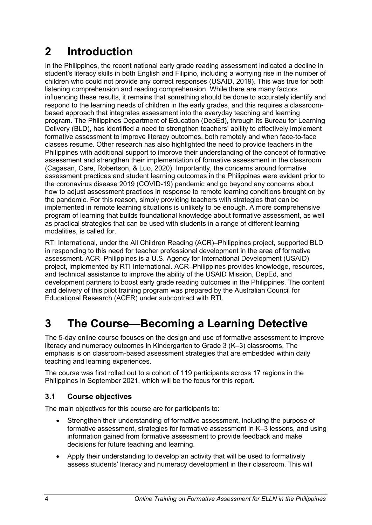## <span id="page-9-0"></span>**2 Introduction**

In the Philippines, the recent national early grade reading assessment indicated a decline in student's literacy skills in both English and Filipino, including a worrying rise in the number of children who could not provide any correct responses (USAID, 2019). This was true for both listening comprehension and reading comprehension. While there are many factors influencing these results, it remains that something should be done to accurately identify and respond to the learning needs of children in the early grades, and this requires a classroombased approach that integrates assessment into the everyday teaching and learning program. The Philippines Department of Education (DepEd), through its Bureau for Learning Delivery (BLD), has identified a need to strengthen teachers' ability to effectively implement formative assessment to improve literacy outcomes, both remotely and when face-to-face classes resume. Other research has also highlighted the need to provide teachers in the Philippines with additional support to improve their understanding of the concept of formative assessment and strengthen their implementation of formative assessment in the classroom (Cagasan, Care, Robertson, & Luo, 2020). Importantly, the concerns around formative assessment practices and student learning outcomes in the Philippines were evident prior to the coronavirus disease 2019 (COVID-19) pandemic and go beyond any concerns about how to adjust assessment practices in response to remote learning conditions brought on by the pandemic. For this reason, simply providing teachers with strategies that can be implemented in remote learning situations is unlikely to be enough. A more comprehensive program of learning that builds foundational knowledge about formative assessment, as well as practical strategies that can be used with students in a range of different learning modalities, is called for.

RTI International, under the All Children Reading (ACR)–Philippines project, supported BLD in responding to this need for teacher professional development in the area of formative assessment. ACR–Philippines is a U.S. Agency for International Development (USAID) project, implemented by RTI International. ACR–Philippines provides knowledge, resources, and technical assistance to improve the ability of the USAID Mission, DepEd, and development partners to boost early grade reading outcomes in the Philippines. The content and delivery of this pilot training program was prepared by the Australian Council for Educational Research (ACER) under subcontract with RTI.

## <span id="page-9-1"></span>**3 The Course—Becoming a Learning Detective**

The 5-day online course focuses on the design and use of formative assessment to improve literacy and numeracy outcomes in Kindergarten to Grade 3 (K–3) classrooms. The emphasis is on classroom-based assessment strategies that are embedded within daily teaching and learning experiences.

The course was first rolled out to a cohort of 119 participants across 17 regions in the Philippines in September 2021, which will be the focus for this report.

## <span id="page-9-2"></span>**3.1 Course objectives**

The main objectives for this course are for participants to:

- Strengthen their understanding of formative assessment, including the purpose of formative assessment, strategies for formative assessment in K–3 lessons, and using information gained from formative assessment to provide feedback and make decisions for future teaching and learning.
- Apply their understanding to develop an activity that will be used to formatively assess students' literacy and numeracy development in their classroom. This will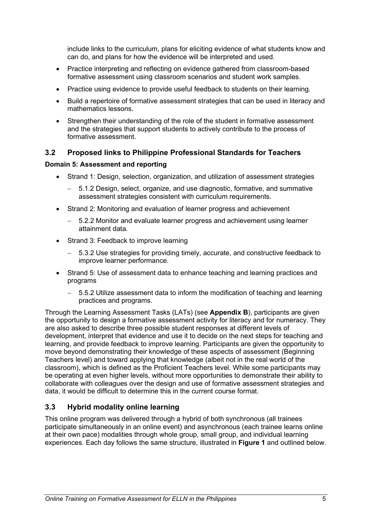include links to the curriculum, plans for eliciting evidence of what students know and can do, and plans for how the evidence will be interpreted and used.

- Practice interpreting and reflecting on evidence gathered from classroom-based formative assessment using classroom scenarios and student work samples.
- Practice using evidence to provide useful feedback to students on their learning.
- Build a repertoire of formative assessment strategies that can be used in literacy and mathematics lessons.
- Strengthen their understanding of the role of the student in formative assessment and the strategies that support students to actively contribute to the process of formative assessment.

#### <span id="page-10-0"></span>**3.2 Proposed links to Philippine Professional Standards for Teachers**

#### **Domain 5: Assessment and reporting**

- Strand 1: Design, selection, organization, and utilization of assessment strategies
	- − 5.1.2 Design, select, organize, and use diagnostic, formative, and summative assessment strategies consistent with curriculum requirements.
- Strand 2: Monitoring and evaluation of learner progress and achievement
	- − 5.2.2 Monitor and evaluate learner progress and achievement using learner attainment data.
- Strand 3: Feedback to improve learning
	- − 5.3.2 Use strategies for providing timely, accurate, and constructive feedback to improve learner performance.
- Strand 5: Use of assessment data to enhance teaching and learning practices and programs
	- − 5.5.2 Utilize assessment data to inform the modification of teaching and learning practices and programs.

Through the Learning Assessment Tasks (LATs) (see **Appendix B**), participants are given the opportunity to design a formative assessment activity for literacy and for numeracy. They are also asked to describe three possible student responses at different levels of development, interpret that evidence and use it to decide on the next steps for teaching and learning, and provide feedback to improve learning. Participants are given the opportunity to move beyond demonstrating their knowledge of these aspects of assessment (Beginning Teachers level) and toward applying that knowledge (albeit not in the real world of the classroom), which is defined as the Proficient Teachers level. While some participants may be operating at even higher levels, without more opportunities to demonstrate their ability to collaborate with colleagues over the design and use of formative assessment strategies and data, it would be difficult to determine this in the current course format.

## <span id="page-10-1"></span>**3.3 Hybrid modality online learning**

This online program was delivered through a hybrid of both synchronous (all trainees participate simultaneously in an online event) and asynchronous (each trainee learns online at their own pace) modalities through whole group, small group, and individual learning experiences. Each day follows the same structure, illustrated in **Figure 1** and outlined below.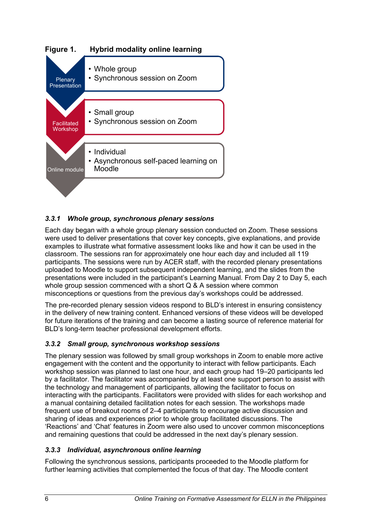<span id="page-11-3"></span>

## <span id="page-11-0"></span>*3.3.1 Whole group, synchronous plenary sessions*

Each day began with a whole group plenary session conducted on Zoom. These sessions were used to deliver presentations that cover key concepts, give explanations, and provide examples to illustrate what formative assessment looks like and how it can be used in the classroom. The sessions ran for approximately one hour each day and included all 119 participants. The sessions were run by ACER staff, with the recorded plenary presentations uploaded to Moodle to support subsequent independent learning, and the slides from the presentations were included in the participant's Learning Manual. From Day 2 to Day 5, each whole group session commenced with a short Q & A session where common misconceptions or questions from the previous day's workshops could be addressed.

The pre-recorded plenary session videos respond to BLD's interest in ensuring consistency in the delivery of new training content. Enhanced versions of these videos will be developed for future iterations of the training and can become a lasting source of reference material for BLD's long-term teacher professional development efforts.

## <span id="page-11-1"></span>*3.3.2 Small group, synchronous workshop sessions*

The plenary session was followed by small group workshops in Zoom to enable more active engagement with the content and the opportunity to interact with fellow participants. Each workshop session was planned to last one hour, and each group had 19–20 participants led by a facilitator. The facilitator was accompanied by at least one support person to assist with the technology and management of participants, allowing the facilitator to focus on interacting with the participants. Facilitators were provided with slides for each workshop and a manual containing detailed facilitation notes for each session. The workshops made frequent use of breakout rooms of 2–4 participants to encourage active discussion and sharing of ideas and experiences prior to whole group facilitated discussions. The 'Reactions' and 'Chat' features in Zoom were also used to uncover common misconceptions and remaining questions that could be addressed in the next day's plenary session.

## <span id="page-11-2"></span>*3.3.3 Individual, asynchronous online learning*

Following the synchronous sessions, participants proceeded to the Moodle platform for further learning activities that complemented the focus of that day. The Moodle content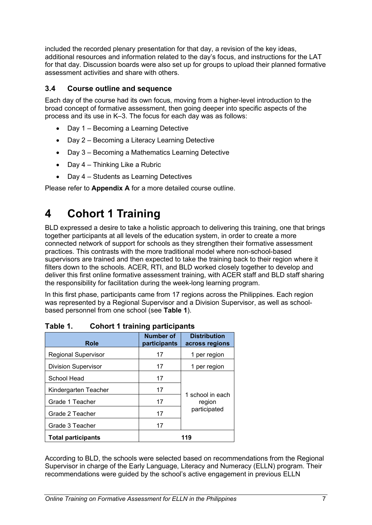included the recorded plenary presentation for that day, a revision of the key ideas, additional resources and information related to the day's focus, and instructions for the LAT for that day. Discussion boards were also set up for groups to upload their planned formative assessment activities and share with others.

## <span id="page-12-0"></span>**3.4 Course outline and sequence**

Each day of the course had its own focus, moving from a higher-level introduction to the broad concept of formative assessment, then going deeper into specific aspects of the process and its use in K–3. The focus for each day was as follows:

- Day 1 Becoming a Learning Detective
- Day 2 Becoming a Literacy Learning Detective
- Day 3 Becoming a Mathematics Learning Detective
- Day 4 Thinking Like a Rubric
- Day 4 Students as Learning Detectives

<span id="page-12-1"></span>Please refer to **Appendix A** for a more detailed course outline.

## **4 Cohort 1 Training**

BLD expressed a desire to take a holistic approach to delivering this training, one that brings together participants at all levels of the education system, in order to create a more connected network of support for schools as they strengthen their formative assessment practices. This contrasts with the more traditional model where non-school-based supervisors are trained and then expected to take the training back to their region where it filters down to the schools. ACER, RTI, and BLD worked closely together to develop and deliver this first online formative assessment training, with ACER staff and BLD staff sharing the responsibility for facilitation during the week-long learning program.

In this first phase, participants came from 17 regions across the Philippines. Each region was represented by a Regional Supervisor and a Division Supervisor, as well as schoolbased personnel from one school (see **Table 1**).

| <b>Role</b>                | Number of<br>participants | <b>Distribution</b><br>across regions |
|----------------------------|---------------------------|---------------------------------------|
| <b>Regional Supervisor</b> | 17                        | 1 per region                          |
| <b>Division Supervisor</b> | 17                        | 1 per region                          |
| School Head                | 17                        |                                       |
| Kindergarten Teacher       | 17                        |                                       |
| Grade 1 Teacher            | 17                        | 1 school in each<br>region            |
| Grade 2 Teacher            | 17                        | participated                          |
| Grade 3 Teacher            | 17                        |                                       |
| <b>Total participants</b>  |                           |                                       |

<span id="page-12-2"></span>**Table 1. Cohort 1 training participants**

According to BLD, the schools were selected based on recommendations from the Regional Supervisor in charge of the Early Language, Literacy and Numeracy (ELLN) program. Their recommendations were guided by the school's active engagement in previous ELLN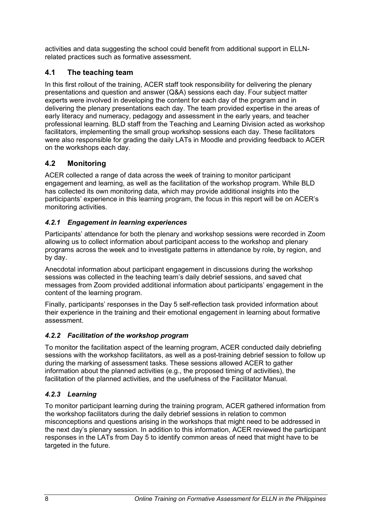activities and data suggesting the school could benefit from additional support in ELLNrelated practices such as formative assessment.

## <span id="page-13-0"></span>**4.1 The teaching team**

In this first rollout of the training, ACER staff took responsibility for delivering the plenary presentations and question and answer (Q&A) sessions each day. Four subject matter experts were involved in developing the content for each day of the program and in delivering the plenary presentations each day. The team provided expertise in the areas of early literacy and numeracy, pedagogy and assessment in the early years, and teacher professional learning. BLD staff from the Teaching and Learning Division acted as workshop facilitators, implementing the small group workshop sessions each day. These facilitators were also responsible for grading the daily LATs in Moodle and providing feedback to ACER on the workshops each day.

## <span id="page-13-1"></span>**4.2 Monitoring**

ACER collected a range of data across the week of training to monitor participant engagement and learning, as well as the facilitation of the workshop program. While BLD has collected its own monitoring data, which may provide additional insights into the participants' experience in this learning program, the focus in this report will be on ACER's monitoring activities.

## <span id="page-13-2"></span>*4.2.1 Engagement in learning experiences*

Participants' attendance for both the plenary and workshop sessions were recorded in Zoom allowing us to collect information about participant access to the workshop and plenary programs across the week and to investigate patterns in attendance by role, by region, and by day.

Anecdotal information about participant engagement in discussions during the workshop sessions was collected in the teaching team's daily debrief sessions, and saved chat messages from Zoom provided additional information about participants' engagement in the content of the learning program.

Finally, participants' responses in the Day 5 self-reflection task provided information about their experience in the training and their emotional engagement in learning about formative assessment.

## <span id="page-13-3"></span>*4.2.2 Facilitation of the workshop program*

To monitor the facilitation aspect of the learning program, ACER conducted daily debriefing sessions with the workshop facilitators, as well as a post-training debrief session to follow up during the marking of assessment tasks. These sessions allowed ACER to gather information about the planned activities (e.g., the proposed timing of activities), the facilitation of the planned activities, and the usefulness of the Facilitator Manual.

## <span id="page-13-4"></span>*4.2.3 Learning*

To monitor participant learning during the training program, ACER gathered information from the workshop facilitators during the daily debrief sessions in relation to common misconceptions and questions arising in the workshops that might need to be addressed in the next day's plenary session. In addition to this information, ACER reviewed the participant responses in the LATs from Day 5 to identify common areas of need that might have to be targeted in the future.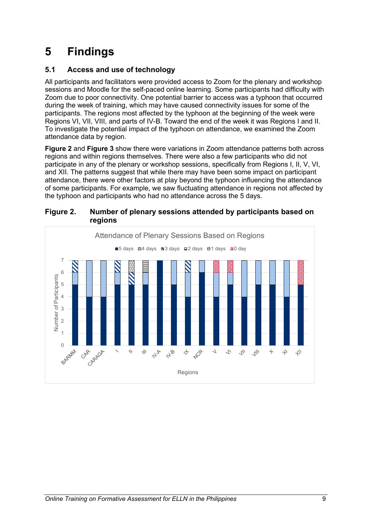## <span id="page-14-0"></span>**5 Findings**

## <span id="page-14-1"></span>**5.1 Access and use of technology**

All participants and facilitators were provided access to Zoom for the plenary and workshop sessions and Moodle for the self-paced online learning. Some participants had difficulty with Zoom due to poor connectivity. One potential barrier to access was a typhoon that occurred during the week of training, which may have caused connectivity issues for some of the participants. The regions most affected by the typhoon at the beginning of the week were Regions VI, VII, VIII, and parts of IV-B. Toward the end of the week it was Regions I and II. To investigate the potential impact of the typhoon on attendance, we examined the Zoom attendance data by region.

**Figure 2** and **Figure 3** show there were variations in Zoom attendance patterns both across regions and within regions themselves. There were also a few participants who did not participate in any of the plenary or workshop sessions, specifically from Regions I, II, V, VI, and XII. The patterns suggest that while there may have been some impact on participant attendance, there were other factors at play beyond the typhoon influencing the attendance of some participants. For example, we saw fluctuating attendance in regions not affected by the typhoon and participants who had no attendance across the 5 days.



#### <span id="page-14-2"></span>**Figure 2. Number of plenary sessions attended by participants based on regions**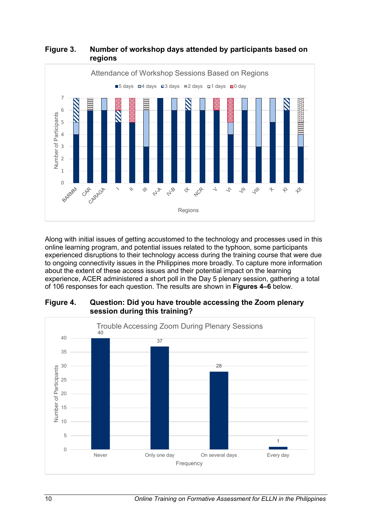

## <span id="page-15-0"></span>**Figure 3. Number of workshop days attended by participants based on regions**

Along with initial issues of getting accustomed to the technology and processes used in this online learning program, and potential issues related to the typhoon, some participants experienced disruptions to their technology access during the training course that were due to ongoing connectivity issues in the Philippines more broadly. To capture more information about the extent of these access issues and their potential impact on the learning experience, ACER administered a short poll in the Day 5 plenary session, gathering a total of 106 responses for each question. The results are shown in **Figures 4–6** below.

<span id="page-15-1"></span>

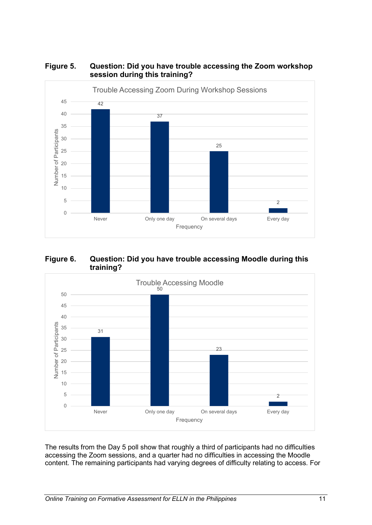

## <span id="page-16-0"></span>**Figure 5. Question: Did you have trouble accessing the Zoom workshop session during this training?**

<span id="page-16-1"></span>



The results from the Day 5 poll show that roughly a third of participants had no difficulties accessing the Zoom sessions, and a quarter had no difficulties in accessing the Moodle content. The remaining participants had varying degrees of difficulty relating to access. For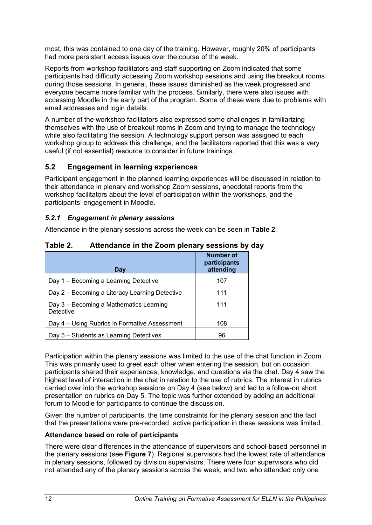most, this was contained to one day of the training. However, roughly 20% of participants had more persistent access issues over the course of the week.

Reports from workshop facilitators and staff supporting on Zoom indicated that some participants had difficulty accessing Zoom workshop sessions and using the breakout rooms during those sessions. In general, these issues diminished as the week progressed and everyone became more familiar with the process. Similarly, there were also issues with accessing Moodle in the early part of the program. Some of these were due to problems with email addresses and login details.

A number of the workshop facilitators also expressed some challenges in familiarizing themselves with the use of breakout rooms in Zoom and trying to manage the technology while also facilitating the session. A technology support person was assigned to each workshop group to address this challenge, and the facilitators reported that this was a very useful (if not essential) resource to consider in future trainings.

#### <span id="page-17-0"></span>**5.2 Engagement in learning experiences**

Participant engagement in the planned learning experiences will be discussed in relation to their attendance in plenary and workshop Zoom sessions, anecdotal reports from the workshop facilitators about the level of participation within the workshops, and the participants' engagement in Moodle.

#### <span id="page-17-1"></span>*5.2.1 Engagement in plenary sessions*

Attendance in the plenary sessions across the week can be seen in **Table 2**.

| Day                                                  | <b>Number of</b><br>participants<br>attending |
|------------------------------------------------------|-----------------------------------------------|
| Day 1 - Becoming a Learning Detective                | 107                                           |
| Day 2 – Becoming a Literacy Learning Detective       | 111                                           |
| Day 3 - Becoming a Mathematics Learning<br>Detective | 111                                           |
| Day 4 – Using Rubrics in Formative Assessment        | 108                                           |
| Day 5 – Students as Learning Detectives              | 96                                            |

## <span id="page-17-2"></span>**Table 2. Attendance in the Zoom plenary sessions by day**

Participation within the plenary sessions was limited to the use of the chat function in Zoom. This was primarily used to greet each other when entering the session, but on occasion participants shared their experiences, knowledge, and questions via the chat. Day 4 saw the highest level of interaction in the chat in relation to the use of rubrics. The interest in rubrics carried over into the workshop sessions on Day 4 (see below) and led to a follow-on short presentation on rubrics on Day 5. The topic was further extended by adding an additional forum to Moodle for participants to continue the discussion.

Given the number of participants, the time constraints for the plenary session and the fact that the presentations were pre-recorded, active participation in these sessions was limited.

#### **Attendance based on role of participants**

There were clear differences in the attendance of supervisors and school-based personnel in the plenary sessions (see **Figure 7**). Regional supervisors had the lowest rate of attendance in plenary sessions, followed by division supervisors. There were four supervisors who did not attended any of the plenary sessions across the week, and two who attended only one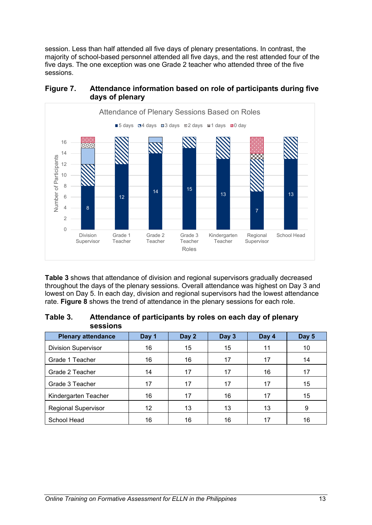session. Less than half attended all five days of plenary presentations. In contrast, the majority of school-based personnel attended all five days, and the rest attended four of the five days. The one exception was one Grade 2 teacher who attended three of the five sessions.



#### <span id="page-18-0"></span>**Figure 7. Attendance information based on role of participants during five days of plenary**

**Table 3** shows that attendance of division and regional supervisors gradually decreased throughout the days of the plenary sessions. Overall attendance was highest on Day 3 and lowest on Day 5. In each day, division and regional supervisors had the lowest attendance rate. **Figure 8** shows the trend of attendance in the plenary sessions for each role.

#### <span id="page-18-1"></span>**Table 3. Attendance of participants by roles on each day of plenary sessions**

| <b>Plenary attendance</b>  | Day 1 | Day 2 | Day 3 | Day 4 | Day 5 |
|----------------------------|-------|-------|-------|-------|-------|
| <b>Division Supervisor</b> | 16    | 15    | 15    | 11    | 10    |
| Grade 1 Teacher            | 16    | 16    | 17    | 17    | 14    |
| Grade 2 Teacher            | 14    | 17    | 17    | 16    | 17    |
| Grade 3 Teacher            | 17    | 17    | 17    | 17    | 15    |
| Kindergarten Teacher       | 16    | 17    | 16    | 17    | 15    |
| <b>Regional Supervisor</b> | 12    | 13    | 13    | 13    | 9     |
| School Head                | 16    | 16    | 16    | 17    | 16    |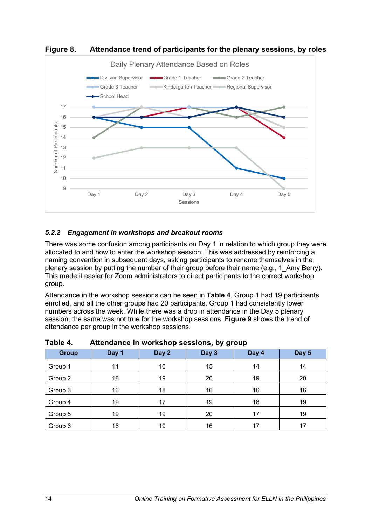

<span id="page-19-1"></span>**Figure 8. Attendance trend of participants for the plenary sessions, by roles**

## <span id="page-19-0"></span>*5.2.2 Engagement in workshops and breakout rooms*

There was some confusion among participants on Day 1 in relation to which group they were allocated to and how to enter the workshop session. This was addressed by reinforcing a naming convention in subsequent days, asking participants to rename themselves in the plenary session by putting the number of their group before their name (e.g., 1\_Amy Berry). This made it easier for Zoom administrators to direct participants to the correct workshop group.

Attendance in the workshop sessions can be seen in **Table 4**. Group 1 had 19 participants enrolled, and all the other groups had 20 participants. Group 1 had consistently lower numbers across the week. While there was a drop in attendance in the Day 5 plenary session, the same was not true for the workshop sessions. **Figure 9** shows the trend of attendance per group in the workshop sessions.

| <b>Group</b> | Day 1 | Day 2 | Day 3 | Day 4 | Day 5 |  |  |
|--------------|-------|-------|-------|-------|-------|--|--|
| Group 1      | 14    | 16    | 15    | 14    | 14    |  |  |
| Group 2      | 18    | 19    | 20    | 19    | 20    |  |  |
| Group 3      | 16    | 18    | 16    | 16    | 16    |  |  |
| Group 4      | 19    | 17    | 19    | 18    | 19    |  |  |
| Group 5      | 19    | 19    | 20    | 17    | 19    |  |  |
| Group 6      | 16    | 19    | 16    | 17    | 17    |  |  |

<span id="page-19-2"></span>**Table 4. Attendance in workshop sessions, by group**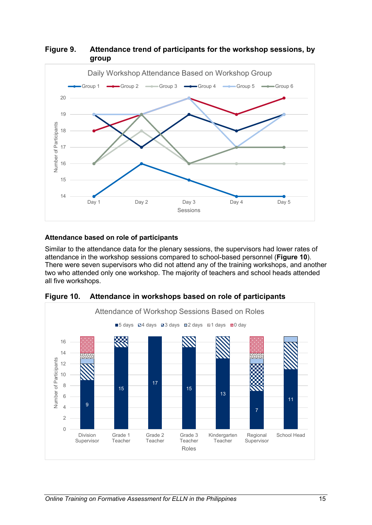

<span id="page-20-0"></span>**Figure 9. Attendance trend of participants for the workshop sessions, by group**

#### **Attendance based on role of participants**

Similar to the attendance data for the plenary sessions, the supervisors had lower rates of attendance in the workshop sessions compared to school-based personnel (**Figure 10**). There were seven supervisors who did not attend any of the training workshops, and another two who attended only one workshop. The majority of teachers and school heads attended all five workshops.



<span id="page-20-1"></span>**Figure 10. Attendance in workshops based on role of participants**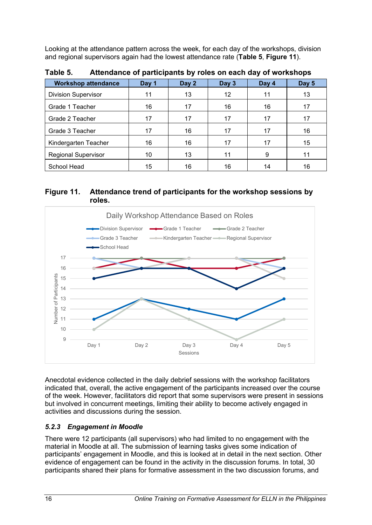Looking at the attendance pattern across the week, for each day of the workshops, division and regional supervisors again had the lowest attendance rate (**Table 5**, **Figure 11**).

| <b>Workshop attendance</b> | Day 1 | Day 2 | Day 3 | Day 4 | Day 5 |
|----------------------------|-------|-------|-------|-------|-------|
| <b>Division Supervisor</b> | 11    | 13    | 12    | 11    | 13    |
| Grade 1 Teacher            | 16    | 17    | 16    | 16    | 17    |
| Grade 2 Teacher            | 17    | 17    | 17    | 17    | 17    |
| Grade 3 Teacher            | 17    | 16    | 17    | 17    | 16    |
| Kindergarten Teacher       | 16    | 16    | 17    | 17    | 15    |
| <b>Regional Supervisor</b> | 10    | 13    | 11    | 9     | 11    |
| School Head                | 15    | 16    | 16    | 14    | 16    |

<span id="page-21-2"></span>**Table 5. Attendance of participants by roles on each day of workshops**

### <span id="page-21-1"></span>**Figure 11. Attendance trend of participants for the workshop sessions by roles.**



Anecdotal evidence collected in the daily debrief sessions with the workshop facilitators indicated that, overall, the active engagement of the participants increased over the course of the week. However, facilitators did report that some supervisors were present in sessions but involved in concurrent meetings, limiting their ability to become actively engaged in activities and discussions during the session.

## <span id="page-21-0"></span>*5.2.3 Engagement in Moodle*

There were 12 participants (all supervisors) who had limited to no engagement with the material in Moodle at all. The submission of learning tasks gives some indication of participants' engagement in Moodle, and this is looked at in detail in the next section. Other evidence of engagement can be found in the activity in the discussion forums. In total, 30 participants shared their plans for formative assessment in the two discussion forums, and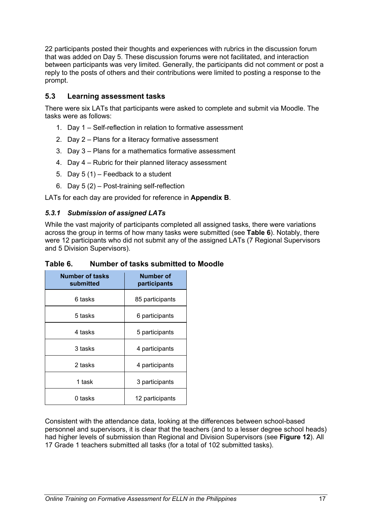22 participants posted their thoughts and experiences with rubrics in the discussion forum that was added on Day 5. These discussion forums were not facilitated, and interaction between participants was very limited. Generally, the participants did not comment or post a reply to the posts of others and their contributions were limited to posting a response to the prompt.

#### <span id="page-22-0"></span>**5.3 Learning assessment tasks**

There were six LATs that participants were asked to complete and submit via Moodle. The tasks were as follows:

- 1. Day 1 Self-reflection in relation to formative assessment
- 2. Day 2 Plans for a literacy formative assessment
- 3. Day 3 Plans for a mathematics formative assessment
- 4. Day 4 Rubric for their planned literacy assessment
- 5. Day 5 (1) Feedback to a student
- 6. Day 5 (2) Post-training self-reflection

LATs for each day are provided for reference in **Appendix B**.

#### <span id="page-22-1"></span>*5.3.1 Submission of assigned LATs*

While the vast majority of participants completed all assigned tasks, there were variations across the group in terms of how many tasks were submitted (see **Table 6**). Notably, there were 12 participants who did not submit any of the assigned LATs (7 Regional Supervisors and 5 Division Supervisors).

| <b>Number of tasks</b><br>submitted | Number of<br>participants |
|-------------------------------------|---------------------------|
| 6 tasks                             | 85 participants           |
| 5 tasks                             | 6 participants            |
| 4 tasks                             | 5 participants            |
| 3 tasks                             | 4 participants            |
| 2 tasks                             | 4 participants            |
| 1 task                              | 3 participants            |
| 0 tasks                             | 12 participants           |

<span id="page-22-2"></span>**Table 6. Number of tasks submitted to Moodle**

Consistent with the attendance data, looking at the differences between school-based personnel and supervisors, it is clear that the teachers (and to a lesser degree school heads) had higher levels of submission than Regional and Division Supervisors (see **Figure 12**). All 17 Grade 1 teachers submitted all tasks (for a total of 102 submitted tasks).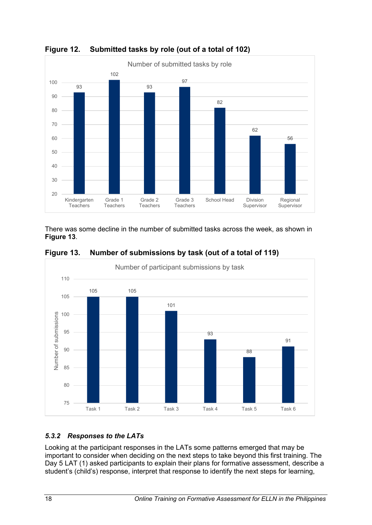

<span id="page-23-1"></span>**Figure 12. Submitted tasks by role (out of a total of 102)**

There was some decline in the number of submitted tasks across the week, as shown in **Figure 13**.



<span id="page-23-2"></span>**Figure 13. Number of submissions by task (out of a total of 119)**

## <span id="page-23-0"></span>*5.3.2 Responses to the LATs*

Looking at the participant responses in the LATs some patterns emerged that may be important to consider when deciding on the next steps to take beyond this first training. The Day 5 LAT (1) asked participants to explain their plans for formative assessment, describe a student's (child's) response, interpret that response to identify the next steps for learning,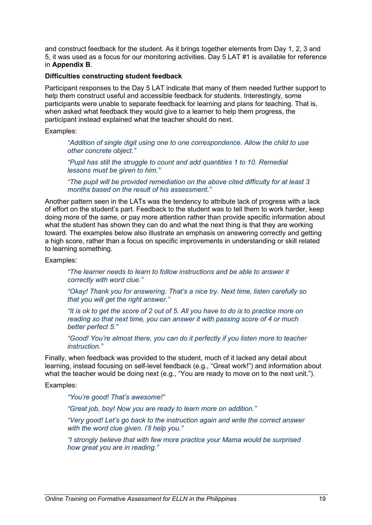and construct feedback for the student. As it brings together elements from Day 1, 2, 3 and 5, it was used as a focus for our monitoring activities. Day 5 LAT #1 is available for reference in **Appendix B**.

#### **Difficulties constructing student feedback**

Participant responses to the Day 5 LAT indicate that many of them needed further support to help them construct useful and accessible feedback for students. Interestingly, some participants were unable to separate feedback for learning and plans for teaching. That is, when asked what feedback they would give to a learner to help them progress, the participant instead explained what the teacher should do next.

#### Examples:

*"Addition of single digit using one to one correspondence. Allow the child to use other concrete object."*

*"Pupil has still the struggle to count and add quantities 1 to 10. Remedial lessons must be given to him."*

*"The pupil will be provided remediation on the above cited difficulty for at least 3 months based on the result of his assessment."*

Another pattern seen in the LATs was the tendency to attribute lack of progress with a lack of effort on the student's part. Feedback to the student was to tell them to work harder, keep doing more of the same, or pay more attention rather than provide specific information about what the student has shown they can do and what the next thing is that they are working toward. The examples below also illustrate an emphasis on answering correctly and getting a high score, rather than a focus on specific improvements in understanding or skill related to learning something.

Examples:

*"The learner needs to learn to follow instructions and be able to answer it correctly with word clue."*

*"Okay! Thank you for answering. That's a nice try. Next time, listen carefully so that you will get the right answer."*

*"It is ok to get the score of 2 out of 5. All you have to do is to practice more on reading so that next time, you can answer it with passing score of 4 or much better perfect 5."*

*"Good! You're almost there, you can do it perfectly if you listen more to teacher instruction."*

Finally, when feedback was provided to the student, much of it lacked any detail about learning, instead focusing on self-level feedback (e.g., "Great work!") and information about what the teacher would be doing next (e.g., "You are ready to move on to the next unit.").

#### Examples:

*"You're good! That's awesome!"*

*"Great job, boy! Now you are ready to learn more on addition."*

*"Very good! Let's go back to the instruction again and write the correct answer with the word clue given. I'll help you."*

*"I strongly believe that with few more practice your Mama would be surprised how great you are in reading."*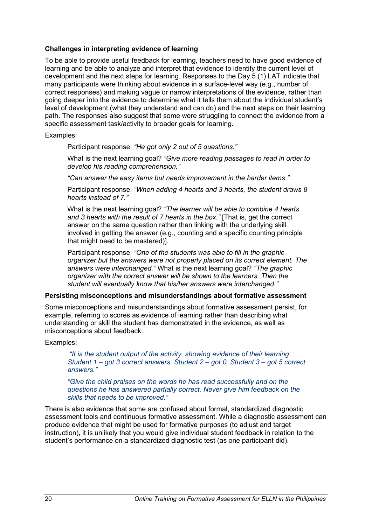#### **Challenges in interpreting evidence of learning**

To be able to provide useful feedback for learning, teachers need to have good evidence of learning and be able to analyze and interpret that evidence to identify the current level of development and the next steps for learning. Responses to the Day 5 (1) LAT indicate that many participants were thinking about evidence in a surface-level way (e.g., number of correct responses) and making vague or narrow interpretations of the evidence, rather than going deeper into the evidence to determine what it tells them about the individual student's level of development (what they understand and can do) and the next steps on their learning path. The responses also suggest that some were struggling to connect the evidence from a specific assessment task/activity to broader goals for learning.

Examples:

Participant response: *"He got only 2 out of 5 questions."*

What is the next learning goal? *"Give more reading passages to read in order to develop his reading comprehension."*

*"Can answer the easy items but needs improvement in the harder items."*

Participant response: *"When adding 4 hearts and 3 hearts, the student draws 8 hearts instead of 7."* 

What is the next learning goal? *"The learner will be able to combine 4 hearts and 3 hearts with the result of 7 hearts in the box."* [That is, get the correct answer on the same question rather than linking with the underlying skill involved in getting the answer (e.g., counting and a specific counting principle that might need to be mastered)].

Participant response: *"One of the students was able to fill in the graphic organizer but the answers were not properly placed on its correct element. The answers were interchanged."* What is the next learning goal? *"The graphic organizer with the correct answer will be shown to the learners. Then the student will eventually know that his/her answers were interchanged."*

#### **Persisting misconceptions and misunderstandings about formative assessment**

Some misconceptions and misunderstandings about formative assessment persist, for example, referring to scores as evidence of learning rather than describing what understanding or skill the student has demonstrated in the evidence, as well as misconceptions about feedback.

#### Examples:

*"It is the student output of the activity, showing evidence of their learning. Student 1 – got 3 correct answers, Student 2 – got 0, Student 3 – got 5 correct answers."*

*"Give the child praises on the words he has read successfully and on the questions he has answered partially correct. Never give him feedback on the skills that needs to be improved."*

There is also evidence that some are confused about formal, standardized diagnostic assessment tools and continuous formative assessment. While a diagnostic assessment can produce evidence that might be used for formative purposes (to adjust and target instruction), it is unlikely that you would give individual student feedback in relation to the student's performance on a standardized diagnostic test (as one participant did).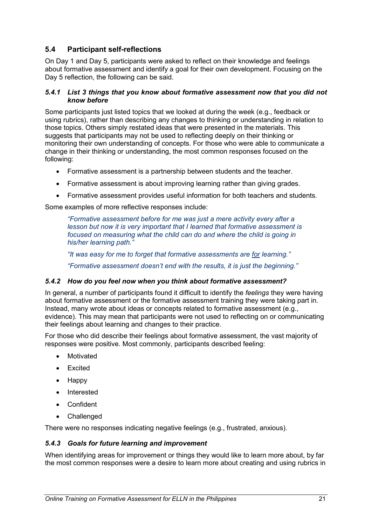## <span id="page-26-0"></span>**5.4 Participant self-reflections**

On Day 1 and Day 5, participants were asked to reflect on their knowledge and feelings about formative assessment and identify a goal for their own development. Focusing on the Day 5 reflection, the following can be said.

#### <span id="page-26-1"></span>*5.4.1 List 3 things that you know about formative assessment now that you did not know before*

Some participants just listed topics that we looked at during the week (e.g., feedback or using rubrics), rather than describing any changes to thinking or understanding in relation to those topics. Others simply restated ideas that were presented in the materials. This suggests that participants may not be used to reflecting deeply on their thinking or monitoring their own understanding of concepts. For those who were able to communicate a change in their thinking or understanding, the most common responses focused on the following:

- Formative assessment is a partnership between students and the teacher.
- Formative assessment is about improving learning rather than giving grades.
- Formative assessment provides useful information for both teachers and students.

Some examples of more reflective responses include:

*"Formative assessment before for me was just a mere activity every after a lesson but now it is very important that I learned that formative assessment is focused on measuring what the child can do and where the child is going in his/her learning path."*

*"It was easy for me to forget that formative assessments are for learning."*

*"Formative assessment doesn't end with the results, it is just the beginning."*

#### <span id="page-26-2"></span>*5.4.2 How do you feel now when you think about formative assessment?*

In general, a number of participants found it difficult to identify the *feelings* they were having about formative assessment or the formative assessment training they were taking part in. Instead, many wrote about ideas or concepts related to formative assessment (e.g., evidence). This may mean that participants were not used to reflecting on or communicating their feelings about learning and changes to their practice.

For those who did describe their feelings about formative assessment, the vast majority of responses were positive. Most commonly, participants described feeling:

- Motivated
- Excited
- Happy
- Interested
- Confident
- Challenged

There were no responses indicating negative feelings (e.g., frustrated, anxious).

#### <span id="page-26-3"></span>*5.4.3 Goals for future learning and improvement*

When identifying areas for improvement or things they would like to learn more about, by far the most common responses were a desire to learn more about creating and using rubrics in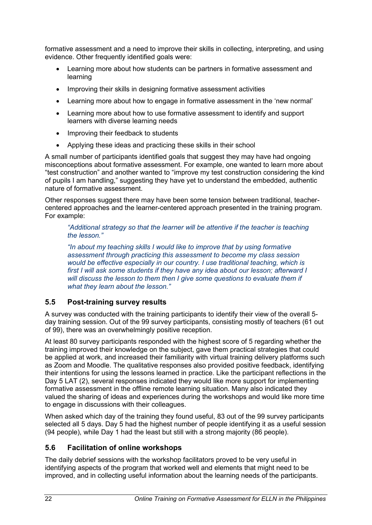formative assessment and a need to improve their skills in collecting, interpreting, and using evidence. Other frequently identified goals were:

- Learning more about how students can be partners in formative assessment and learning
- Improving their skills in designing formative assessment activities
- Learning more about how to engage in formative assessment in the 'new normal'
- Learning more about how to use formative assessment to identify and support learners with diverse learning needs
- Improving their feedback to students
- Applying these ideas and practicing these skills in their school

A small number of participants identified goals that suggest they may have had ongoing misconceptions about formative assessment. For example, one wanted to learn more about "test construction" and another wanted to "improve my test construction considering the kind of pupils I am handling," suggesting they have yet to understand the embedded, authentic nature of formative assessment.

Other responses suggest there may have been some tension between traditional, teachercentered approaches and the learner-centered approach presented in the training program. For example:

*"Additional strategy so that the learner will be attentive if the teacher is teaching the lesson."* 

*"In about my teaching skills I would like to improve that by using formative assessment through practicing this assessment to become my class session would be effective especially in our country. I use traditional teaching, which is first I will ask some students if they have any idea about our lesson; afterward I will discuss the lesson to them then I give some questions to evaluate them if what they learn about the lesson."*

## <span id="page-27-0"></span>**5.5 Post-training survey results**

A survey was conducted with the training participants to identify their view of the overall 5 day training session. Out of the 99 survey participants, consisting mostly of teachers (61 out of 99), there was an overwhelmingly positive reception.

At least 80 survey participants responded with the highest score of 5 regarding whether the training improved their knowledge on the subject, gave them practical strategies that could be applied at work, and increased their familiarity with virtual training delivery platforms such as Zoom and Moodle. The qualitative responses also provided positive feedback, identifying their intentions for using the lessons learned in practice. Like the participant reflections in the Day 5 LAT (2), several responses indicated they would like more support for implementing formative assessment in the offline remote learning situation. Many also indicated they valued the sharing of ideas and experiences during the workshops and would like more time to engage in discussions with their colleagues.

When asked which day of the training they found useful, 83 out of the 99 survey participants selected all 5 days. Day 5 had the highest number of people identifying it as a useful session (94 people), while Day 1 had the least but still with a strong majority (86 people).

## <span id="page-27-1"></span>**5.6 Facilitation of online workshops**

The daily debrief sessions with the workshop facilitators proved to be very useful in identifying aspects of the program that worked well and elements that might need to be improved, and in collecting useful information about the learning needs of the participants.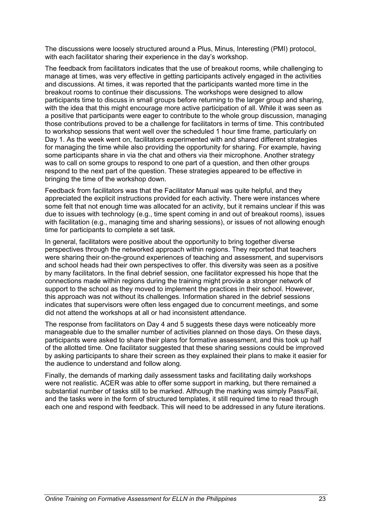The discussions were loosely structured around a Plus, Minus, Interesting (PMI) protocol, with each facilitator sharing their experience in the day's workshop.

The feedback from facilitators indicates that the use of breakout rooms, while challenging to manage at times, was very effective in getting participants actively engaged in the activities and discussions. At times, it was reported that the participants wanted more time in the breakout rooms to continue their discussions. The workshops were designed to allow participants time to discuss in small groups before returning to the larger group and sharing, with the idea that this might encourage more active participation of all. While it was seen as a positive that participants were eager to contribute to the whole group discussion, managing those contributions proved to be a challenge for facilitators in terms of time. This contributed to workshop sessions that went well over the scheduled 1 hour time frame, particularly on Day 1. As the week went on, facilitators experimented with and shared different strategies for managing the time while also providing the opportunity for sharing. For example, having some participants share in via the chat and others via their microphone. Another strategy was to call on some groups to respond to one part of a question, and then other groups respond to the next part of the question. These strategies appeared to be effective in bringing the time of the workshop down.

Feedback from facilitators was that the Facilitator Manual was quite helpful, and they appreciated the explicit instructions provided for each activity. There were instances where some felt that not enough time was allocated for an activity, but it remains unclear if this was due to issues with technology (e.g., time spent coming in and out of breakout rooms), issues with facilitation (e.g., managing time and sharing sessions), or issues of not allowing enough time for participants to complete a set task.

In general, facilitators were positive about the opportunity to bring together diverse perspectives through the networked approach within regions. They reported that teachers were sharing their on-the-ground experiences of teaching and assessment, and supervisors and school heads had their own perspectives to offer. this diversity was seen as a positive by many facilitators. In the final debrief session, one facilitator expressed his hope that the connections made within regions during the training might provide a stronger network of support to the school as they moved to implement the practices in their school. However, this approach was not without its challenges. Information shared in the debrief sessions indicates that supervisors were often less engaged due to concurrent meetings, and some did not attend the workshops at all or had inconsistent attendance.

The response from facilitators on Day 4 and 5 suggests these days were noticeably more manageable due to the smaller number of activities planned on those days. On these days, participants were asked to share their plans for formative assessment, and this took up half of the allotted time. One facilitator suggested that these sharing sessions could be improved by asking participants to share their screen as they explained their plans to make it easier for the audience to understand and follow along.

Finally, the demands of marking daily assessment tasks and facilitating daily workshops were not realistic. ACER was able to offer some support in marking, but there remained a substantial number of tasks still to be marked. Although the marking was simply Pass/Fail, and the tasks were in the form of structured templates, it still required time to read through each one and respond with feedback. This will need to be addressed in any future iterations.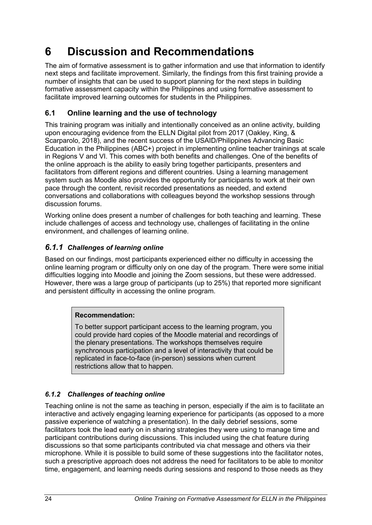## <span id="page-29-0"></span>**6 Discussion and Recommendations**

The aim of formative assessment is to gather information and use that information to identify next steps and facilitate improvement. Similarly, the findings from this first training provide a number of insights that can be used to support planning for the next steps in building formative assessment capacity within the Philippines and using formative assessment to facilitate improved learning outcomes for students in the Philippines.

## <span id="page-29-1"></span>**6.1 Online learning and the use of technology**

This training program was initially and intentionally conceived as an online activity, building upon encouraging evidence from the ELLN Digital pilot from 2017 (Oakley, King, & Scarparolo, 2018), and the recent success of the USAID/Philippines Advancing Basic Education in the Philippines (ABC+) project in implementing online teacher trainings at scale in Regions V and VI. This comes with both benefits and challenges. One of the benefits of the online approach is the ability to easily bring together participants, presenters and facilitators from different regions and different countries. Using a learning management system such as Moodle also provides the opportunity for participants to work at their own pace through the content, revisit recorded presentations as needed, and extend conversations and collaborations with colleagues beyond the workshop sessions through discussion forums.

Working online does present a number of challenges for both teaching and learning. These include challenges of access and technology use, challenges of facilitating in the online environment, and challenges of learning online.

## <span id="page-29-2"></span>*6.1.1 Challenges of learning online*

Based on our findings, most participants experienced either no difficulty in accessing the online learning program or difficulty only on one day of the program. There were some initial difficulties logging into Moodle and joining the Zoom sessions, but these were addressed. However, there was a large group of participants (up to 25%) that reported more significant and persistent difficulty in accessing the online program.

## **Recommendation:**

To better support participant access to the learning program, you could provide hard copies of the Moodle material and recordings of the plenary presentations. The workshops themselves require synchronous participation and a level of interactivity that could be replicated in face-to-face (in-person) sessions when current restrictions allow that to happen.

## <span id="page-29-3"></span>*6.1.2 Challenges of teaching online*

Teaching online is not the same as teaching in person, especially if the aim is to facilitate an interactive and actively engaging learning experience for participants (as opposed to a more passive experience of watching a presentation). In the daily debrief sessions, some facilitators took the lead early on in sharing strategies they were using to manage time and participant contributions during discussions. This included using the chat feature during discussions so that some participants contributed via chat message and others via their microphone. While it is possible to build some of these suggestions into the facilitator notes, such a prescriptive approach does not address the need for facilitators to be able to monitor time, engagement, and learning needs during sessions and respond to those needs as they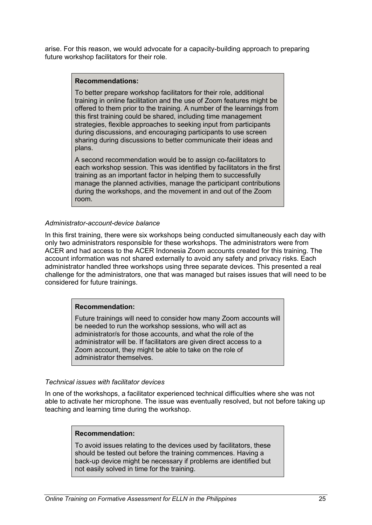arise. For this reason, we would advocate for a capacity-building approach to preparing future workshop facilitators for their role.

#### **Recommendations:**

To better prepare workshop facilitators for their role, additional training in online facilitation and the use of Zoom features might be offered to them prior to the training. A number of the learnings from this first training could be shared, including time management strategies, flexible approaches to seeking input from participants during discussions, and encouraging participants to use screen sharing during discussions to better communicate their ideas and plans.

A second recommendation would be to assign co-facilitators to each workshop session. This was identified by facilitators in the first training as an important factor in helping them to successfully manage the planned activities, manage the participant contributions during the workshops, and the movement in and out of the Zoom room.

#### *Administrator-account-device balance*

In this first training, there were six workshops being conducted simultaneously each day with only two administrators responsible for these workshops. The administrators were from ACER and had access to the ACER Indonesia Zoom accounts created for this training. The account information was not shared externally to avoid any safety and privacy risks. Each administrator handled three workshops using three separate devices. This presented a real challenge for the administrators, one that was managed but raises issues that will need to be considered for future trainings.

#### **Recommendation:**

Future trainings will need to consider how many Zoom accounts will be needed to run the workshop sessions, who will act as administrator/s for those accounts, and what the role of the administrator will be. If facilitators are given direct access to a Zoom account, they might be able to take on the role of administrator themselves.

#### *Technical issues with facilitator devices*

In one of the workshops, a facilitator experienced technical difficulties where she was not able to activate her microphone. The issue was eventually resolved, but not before taking up teaching and learning time during the workshop.

#### **Recommendation:**

To avoid issues relating to the devices used by facilitators, these should be tested out before the training commences. Having a back-up device might be necessary if problems are identified but not easily solved in time for the training.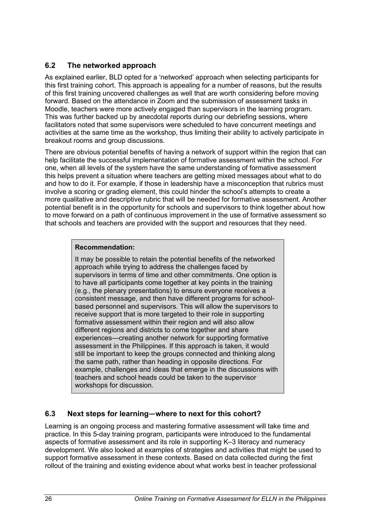## <span id="page-31-0"></span>**6.2 The networked approach**

As explained earlier, BLD opted for a 'networked' approach when selecting participants for this first training cohort. This approach is appealing for a number of reasons, but the results of this first training uncovered challenges as well that are worth considering before moving forward. Based on the attendance in Zoom and the submission of assessment tasks in Moodle, teachers were more actively engaged than supervisors in the learning program. This was further backed up by anecdotal reports during our debriefing sessions, where facilitators noted that some supervisors were scheduled to have concurrent meetings and activities at the same time as the workshop, thus limiting their ability to actively participate in breakout rooms and group discussions.

There are obvious potential benefits of having a network of support within the region that can help facilitate the successful implementation of formative assessment within the school. For one, when all levels of the system have the same understanding of formative assessment this helps prevent a situation where teachers are getting mixed messages about what to do and how to do it. For example, if those in leadership have a misconception that rubrics must involve a scoring or grading element, this could hinder the school's attempts to create a more qualitative and descriptive rubric that will be needed for formative assessment. Another potential benefit is in the opportunity for schools and supervisors to think together about how to move forward on a path of continuous improvement in the use of formative assessment so that schools and teachers are provided with the support and resources that they need.

#### **Recommendation:**

It may be possible to retain the potential benefits of the networked approach while trying to address the challenges faced by supervisors in terms of time and other commitments. One option is to have all participants come together at key points in the training (e.g., the plenary presentations) to ensure everyone receives a consistent message, and then have different programs for schoolbased personnel and supervisors. This will allow the supervisors to receive support that is more targeted to their role in supporting formative assessment within their region and will also allow different regions and districts to come together and share experiences—creating another network for supporting formative assessment in the Philippines. If this approach is taken, it would still be important to keep the groups connected and thinking along the same path, rather than heading in opposite directions. For example, challenges and ideas that emerge in the discussions with teachers and school heads could be taken to the supervisor workshops for discussion.

## <span id="page-31-1"></span>**6.3 Next steps for learning—where to next for this cohort?**

Learning is an ongoing process and mastering formative assessment will take time and practice. In this 5-day training program, participants were introduced to the fundamental aspects of formative assessment and its role in supporting K–3 literacy and numeracy development. We also looked at examples of strategies and activities that might be used to support formative assessment in these contexts. Based on data collected during the first rollout of the training and existing evidence about what works best in teacher professional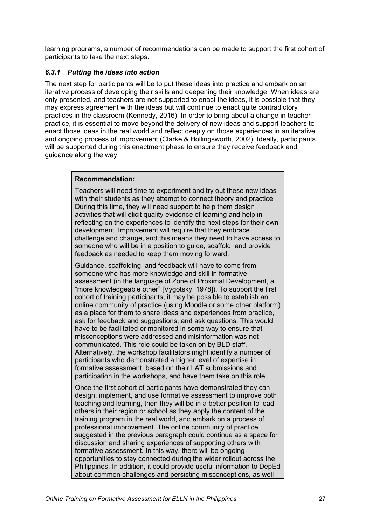learning programs, a number of recommendations can be made to support the first cohort of participants to take the next steps.

#### <span id="page-32-0"></span>*6.3.1 Putting the ideas into action*

The next step for participants will be to put these ideas into practice and embark on an iterative process of developing their skills and deepening their knowledge. When ideas are only presented, and teachers are not supported to enact the ideas, it is possible that they may express agreement with the ideas but will continue to enact quite contradictory practices in the classroom (Kennedy, 2016). In order to bring about a change in teacher practice, it is essential to move beyond the delivery of new ideas and support teachers to enact those ideas in the real world and reflect deeply on those experiences in an iterative and ongoing process of improvement (Clarke & Hollingsworth, 2002). Ideally, participants will be supported during this enactment phase to ensure they receive feedback and guidance along the way.

#### **Recommendation:**

Teachers will need time to experiment and try out these new ideas with their students as they attempt to connect theory and practice. During this time, they will need support to help them design activities that will elicit quality evidence of learning and help in reflecting on the experiences to identify the next steps for their own development. Improvement will require that they embrace challenge and change, and this means they need to have access to someone who will be in a position to guide, scaffold, and provide feedback as needed to keep them moving forward.

Guidance, scaffolding, and feedback will have to come from someone who has more knowledge and skill in formative assessment (in the language of Zone of Proximal Development, a "more knowledgeable other" [Vygotsky, 1978]). To support the first cohort of training participants, it may be possible to establish an online community of practice (using Moodle or some other platform) as a place for them to share ideas and experiences from practice, ask for feedback and suggestions, and ask questions. This would have to be facilitated or monitored in some way to ensure that misconceptions were addressed and misinformation was not communicated. This role could be taken on by BLD staff. Alternatively, the workshop facilitators might identify a number of participants who demonstrated a higher level of expertise in formative assessment, based on their LAT submissions and participation in the workshops, and have them take on this role.

Once the first cohort of participants have demonstrated they can design, implement, and use formative assessment to improve both teaching and learning, then they will be in a better position to lead others in their region or school as they apply the content of the training program in the real world, and embark on a process of professional improvement. The online community of practice suggested in the previous paragraph could continue as a space for discussion and sharing experiences of supporting others with formative assessment. In this way, there will be ongoing opportunities to stay connected during the wider rollout across the Philippines. In addition, it could provide useful information to DepEd about common challenges and persisting misconceptions, as well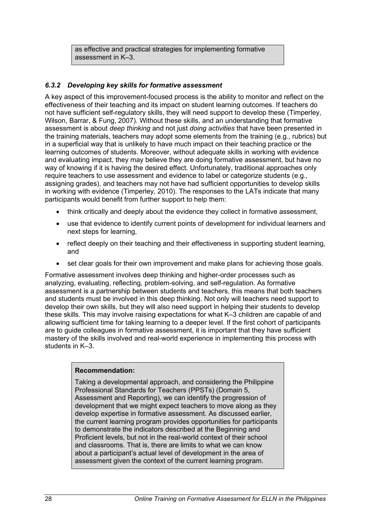as effective and practical strategies for implementing formative assessment in K–3.

#### <span id="page-33-0"></span>*6.3.2 Developing key skills for formative assessment*

A key aspect of this improvement-focused process is the ability to monitor and reflect on the effectiveness of their teaching and its impact on student learning outcomes. If teachers do not have sufficient self-regulatory skills, they will need support to develop these (Timperley, Wilson, Barrar, & Fung, 2007). Without these skills, and an understanding that formative assessment is about *deep thinking* and not just *doing activities* that have been presented in the training materials, teachers may adopt some elements from the training (e.g., rubrics) but in a superficial way that is unlikely to have much impact on their teaching practice or the learning outcomes of students. Moreover, without adequate skills in working with evidence and evaluating impact, they may believe they are doing formative assessment, but have no way of knowing if it is having the desired effect. Unfortunately, traditional approaches only require teachers to use assessment and evidence to label or categorize students (e.g., assigning grades), and teachers may not have had sufficient opportunities to develop skills in working with evidence (Timperley, 2010). The responses to the LATs indicate that many participants would benefit from further support to help them:

- think critically and deeply about the evidence they collect in formative assessment,
- use that evidence to identify current points of development for individual learners and next steps for learning,
- reflect deeply on their teaching and their effectiveness in supporting student learning, and
- set clear goals for their own improvement and make plans for achieving those goals.

Formative assessment involves deep thinking and higher-order processes such as analyzing, evaluating, reflecting, problem-solving, and self-regulation. As formative assessment is a partnership between students and teachers, this means that both teachers and students must be involved in this deep thinking. Not only will teachers need support to develop their own skills, but they will also need support in helping their students to develop these skills. This may involve raising expectations for what K–3 children are capable of and allowing sufficient time for taking learning to a deeper level. If the first cohort of participants are to guide colleagues in formative assessment, it is important that they have sufficient mastery of the skills involved and real-world experience in implementing this process with students in K–3.

#### **Recommendation:**

Taking a developmental approach, and considering the Philippine Professional Standards for Teachers (PPSTs) (Domain 5, Assessment and Reporting), we can identify the progression of development that we might expect teachers to move along as they develop expertise in formative assessment. As discussed earlier, the current learning program provides opportunities for participants to demonstrate the indicators described at the Beginning and Proficient levels, but not in the real-world context of their school and classrooms. That is, there are limits to what we can know about a participant's actual level of development in the area of assessment given the context of the current learning program.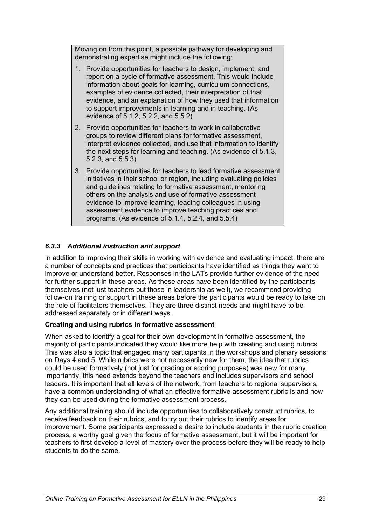Moving on from this point, a possible pathway for developing and demonstrating expertise might include the following:

- 1. Provide opportunities for teachers to design, implement, and report on a cycle of formative assessment. This would include information about goals for learning, curriculum connections, examples of evidence collected, their interpretation of that evidence, and an explanation of how they used that information to support improvements in learning and in teaching. (As evidence of 5.1.2, 5.2.2, and 5.5.2)
- 2. Provide opportunities for teachers to work in collaborative groups to review different plans for formative assessment, interpret evidence collected, and use that information to identify the next steps for learning and teaching. (As evidence of 5.1.3, 5.2.3, and 5.5.3)
- 3. Provide opportunities for teachers to lead formative assessment initiatives in their school or region, including evaluating policies and guidelines relating to formative assessment, mentoring others on the analysis and use of formative assessment evidence to improve learning, leading colleagues in using assessment evidence to improve teaching practices and programs. (As evidence of 5.1.4, 5.2.4, and 5.5.4)

## <span id="page-34-0"></span>*6.3.3 Additional instruction and support*

In addition to improving their skills in working with evidence and evaluating impact, there are a number of concepts and practices that participants have identified as things they want to improve or understand better. Responses in the LATs provide further evidence of the need for further support in these areas. As these areas have been identified by the participants themselves (not just teachers but those in leadership as well), we recommend providing follow-on training or support in these areas before the participants would be ready to take on the role of facilitators themselves. They are three distinct needs and might have to be addressed separately or in different ways.

#### **Creating and using rubrics in formative assessment**

When asked to identify a goal for their own development in formative assessment, the majority of participants indicated they would like more help with creating and using rubrics. This was also a topic that engaged many participants in the workshops and plenary sessions on Days 4 and 5. While rubrics were not necessarily new for them, the idea that rubrics could be used formatively (not just for grading or scoring purposes) was new for many. Importantly, this need extends beyond the teachers and includes supervisors and school leaders. It is important that all levels of the network, from teachers to regional supervisors, have a common understanding of what an effective formative assessment rubric is and how they can be used during the formative assessment process.

Any additional training should include opportunities to collaboratively construct rubrics, to receive feedback on their rubrics, and to try out their rubrics to identify areas for improvement. Some participants expressed a desire to include students in the rubric creation process, a worthy goal given the focus of formative assessment, but it will be important for teachers to first develop a level of mastery over the process before they will be ready to help students to do the same.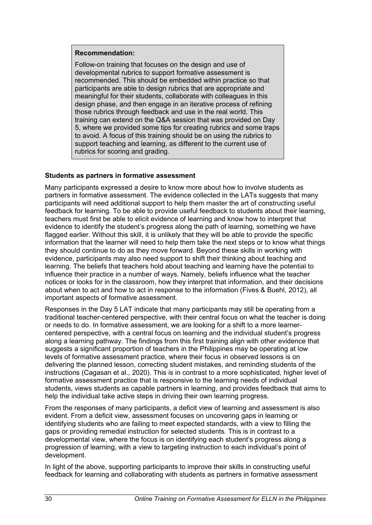#### **Recommendation:**

Follow-on training that focuses on the design and use of developmental rubrics to support formative assessment is recommended. This should be embedded within practice so that participants are able to design rubrics that are appropriate and meaningful for their students, collaborate with colleagues in this design phase, and then engage in an iterative process of refining those rubrics through feedback and use in the real world. This training can extend on the Q&A session that was provided on Day 5, where we provided some tips for creating rubrics and some traps to avoid. A focus of this training should be on using the rubrics to support teaching and learning, as different to the current use of rubrics for scoring and grading.

#### **Students as partners in formative assessment**

Many participants expressed a desire to know more about how to involve students as partners in formative assessment. The evidence collected in the LATs suggests that many participants will need additional support to help them master the art of constructing useful feedback for learning. To be able to provide useful feedback to students about their learning, teachers must first be able to elicit evidence of learning and know how to interpret that evidence to identify the student's progress along the path of learning, something we have flagged earlier. Without this skill, it is unlikely that they will be able to provide the specific information that the learner will need to help them take the next steps or to know what things they should continue to do as they move forward. Beyond these skills in working with evidence, participants may also need support to shift their thinking about teaching and learning. The beliefs that teachers hold about teaching and learning have the potential to influence their practice in a number of ways. Namely, beliefs influence what the teacher notices or looks for in the classroom, how they interpret that information, and their decisions about when to act and how to act in response to the information (Fives & Buehl, 2012), all important aspects of formative assessment.

Responses in the Day 5 LAT indicate that many participants may still be operating from a traditional teacher-centered perspective, with their central focus on what the teacher is doing or needs to do. In formative assessment, we are looking for a shift to a more learnercentered perspective, with a central focus on learning and the individual student's progress along a learning pathway. The findings from this first training align with other evidence that suggests a significant proportion of teachers in the Philippines may be operating at low levels of formative assessment practice, where their focus in observed lessons is on delivering the planned lesson, correcting student mistakes, and reminding students of the instructions (Cagasan et al., 2020). This is in contrast to a more sophisticated, higher level of formative assessment practice that is responsive to the learning needs of individual students, views students as capable partners in learning, and provides feedback that aims to help the individual take active steps in driving their own learning progress.

From the responses of many participants, a deficit view of learning and assessment is also evident. From a deficit view, assessment focuses on uncovering gaps in learning or identifying students who are failing to meet expected standards, with a view to filling the gaps or providing remedial instruction for selected students. This is in contrast to a developmental view, where the focus is on identifying each student's progress along a progression of learning, with a view to targeting instruction to each individual's point of development.

In light of the above, supporting participants to improve their skills in constructing useful feedback for learning and collaborating with students as partners in formative assessment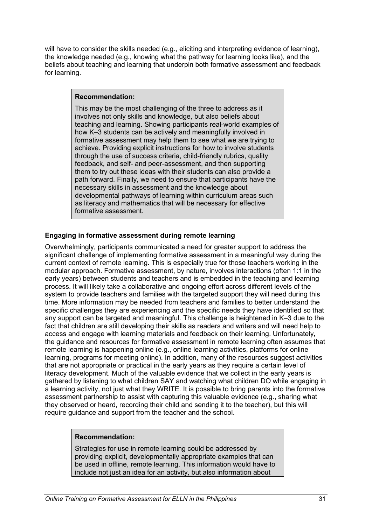will have to consider the skills needed (e.g., eliciting and interpreting evidence of learning), the knowledge needed (e.g., knowing what the pathway for learning looks like), and the beliefs about teaching and learning that underpin both formative assessment and feedback for learning.

#### **Recommendation:**

This may be the most challenging of the three to address as it involves not only skills and knowledge, but also beliefs about teaching and learning. Showing participants real-world examples of how K–3 students can be actively and meaningfully involved in formative assessment may help them to see what we are trying to achieve. Providing explicit instructions for how to involve students through the use of success criteria, child-friendly rubrics, quality feedback, and self- and peer-assessment, and then supporting them to try out these ideas with their students can also provide a path forward. Finally, we need to ensure that participants have the necessary skills in assessment and the knowledge about developmental pathways of learning within curriculum areas such as literacy and mathematics that will be necessary for effective formative assessment.

#### **Engaging in formative assessment during remote learning**

Overwhelmingly, participants communicated a need for greater support to address the significant challenge of implementing formative assessment in a meaningful way during the current context of remote learning. This is especially true for those teachers working in the modular approach. Formative assessment, by nature, involves interactions (often 1:1 in the early years) between students and teachers and is embedded in the teaching and learning process. It will likely take a collaborative and ongoing effort across different levels of the system to provide teachers and families with the targeted support they will need during this time. More information may be needed from teachers and families to better understand the specific challenges they are experiencing and the specific needs they have identified so that any support can be targeted and meaningful. This challenge is heightened in K–3 due to the fact that children are still developing their skills as readers and writers and will need help to access and engage with learning materials and feedback on their learning. Unfortunately, the guidance and resources for formative assessment in remote learning often assumes that remote learning is happening online (e.g., online learning activities, platforms for online learning, programs for meeting online). In addition, many of the resources suggest activities that are not appropriate or practical in the early years as they require a certain level of literacy development. Much of the valuable evidence that we collect in the early years is gathered by listening to what children SAY and watching what children DO while engaging in a learning activity, not just what they WRITE. It is possible to bring parents into the formative assessment partnership to assist with capturing this valuable evidence (e.g., sharing what they observed or heard, recording their child and sending it to the teacher), but this will require guidance and support from the teacher and the school.

#### **Recommendation:**

Strategies for use in remote learning could be addressed by providing explicit, developmentally appropriate examples that can be used in offline, remote learning. This information would have to include not just an idea for an activity, but also information about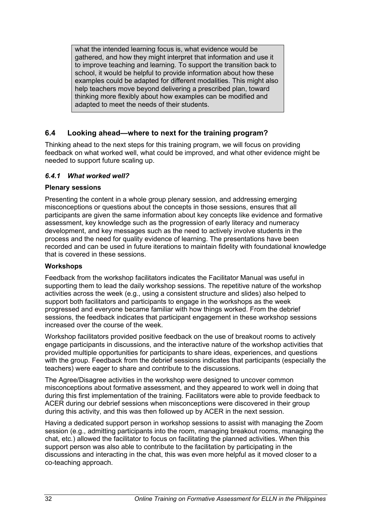what the intended learning focus is, what evidence would be gathered, and how they might interpret that information and use it to improve teaching and learning. To support the transition back to school, it would be helpful to provide information about how these examples could be adapted for different modalities. This might also help teachers move beyond delivering a prescribed plan, toward thinking more flexibly about how examples can be modified and adapted to meet the needs of their students.

## <span id="page-37-0"></span>**6.4 Looking ahead—where to next for the training program?**

Thinking ahead to the next steps for this training program, we will focus on providing feedback on what worked well, what could be improved, and what other evidence might be needed to support future scaling up.

#### <span id="page-37-1"></span>*6.4.1 What worked well?*

#### **Plenary sessions**

Presenting the content in a whole group plenary session, and addressing emerging misconceptions or questions about the concepts in those sessions, ensures that all participants are given the same information about key concepts like evidence and formative assessment, key knowledge such as the progression of early literacy and numeracy development, and key messages such as the need to actively involve students in the process and the need for quality evidence of learning. The presentations have been recorded and can be used in future iterations to maintain fidelity with foundational knowledge that is covered in these sessions.

#### **Workshops**

Feedback from the workshop facilitators indicates the Facilitator Manual was useful in supporting them to lead the daily workshop sessions. The repetitive nature of the workshop activities across the week (e.g., using a consistent structure and slides) also helped to support both facilitators and participants to engage in the workshops as the week progressed and everyone became familiar with how things worked. From the debrief sessions, the feedback indicates that participant engagement in these workshop sessions increased over the course of the week.

Workshop facilitators provided positive feedback on the use of breakout rooms to actively engage participants in discussions, and the interactive nature of the workshop activities that provided multiple opportunities for participants to share ideas, experiences, and questions with the group. Feedback from the debrief sessions indicates that participants (especially the teachers) were eager to share and contribute to the discussions.

The Agree/Disagree activities in the workshop were designed to uncover common misconceptions about formative assessment, and they appeared to work well in doing that during this first implementation of the training. Facilitators were able to provide feedback to ACER during our debrief sessions when misconceptions were discovered in their group during this activity, and this was then followed up by ACER in the next session.

Having a dedicated support person in workshop sessions to assist with managing the Zoom session (e.g., admitting participants into the room, managing breakout rooms, managing the chat, etc.) allowed the facilitator to focus on facilitating the planned activities. When this support person was also able to contribute to the facilitation by participating in the discussions and interacting in the chat, this was even more helpful as it moved closer to a co-teaching approach.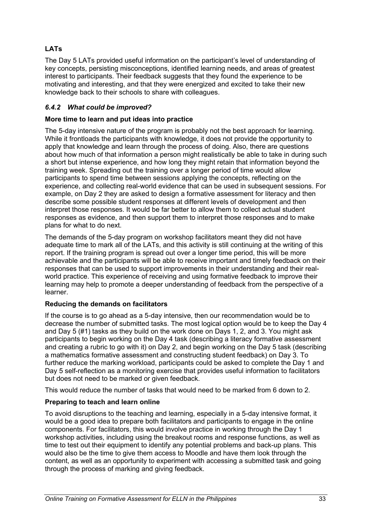## **LATs**

The Day 5 LATs provided useful information on the participant's level of understanding of key concepts, persisting misconceptions, identified learning needs, and areas of greatest interest to participants. Their feedback suggests that they found the experience to be motivating and interesting, and that they were energized and excited to take their new knowledge back to their schools to share with colleagues.

#### <span id="page-38-0"></span>*6.4.2 What could be improved?*

#### **More time to learn and put ideas into practice**

The 5-day intensive nature of the program is probably not the best approach for learning. While it frontloads the participants with knowledge, it does not provide the opportunity to apply that knowledge and learn through the process of doing. Also, there are questions about how much of that information a person might realistically be able to take in during such a short but intense experience, and how long they might retain that information beyond the training week. Spreading out the training over a longer period of time would allow participants to spend time between sessions applying the concepts, reflecting on the experience, and collecting real-world evidence that can be used in subsequent sessions. For example, on Day 2 they are asked to design a formative assessment for literacy and then describe some possible student responses at different levels of development and then interpret those responses. It would be far better to allow them to collect actual student responses as evidence, and then support them to interpret those responses and to make plans for what to do next.

The demands of the 5-day program on workshop facilitators meant they did not have adequate time to mark all of the LATs, and this activity is still continuing at the writing of this report. If the training program is spread out over a longer time period, this will be more achievable and the participants will be able to receive important and timely feedback on their responses that can be used to support improvements in their understanding and their realworld practice. This experience of receiving and using formative feedback to improve their learning may help to promote a deeper understanding of feedback from the perspective of a learner.

#### **Reducing the demands on facilitators**

If the course is to go ahead as a 5-day intensive, then our recommendation would be to decrease the number of submitted tasks. The most logical option would be to keep the Day 4 and Day 5 (#1) tasks as they build on the work done on Days 1, 2, and 3. You might ask participants to begin working on the Day 4 task (describing a literacy formative assessment and creating a rubric to go with it) on Day 2, and begin working on the Day 5 task (describing a mathematics formative assessment and constructing student feedback) on Day 3. To further reduce the marking workload, participants could be asked to complete the Day 1 and Day 5 self-reflection as a monitoring exercise that provides useful information to facilitators but does not need to be marked or given feedback.

This would reduce the number of tasks that would need to be marked from 6 down to 2.

#### **Preparing to teach and learn online**

To avoid disruptions to the teaching and learning, especially in a 5-day intensive format, it would be a good idea to prepare both facilitators and participants to engage in the online components. For facilitators, this would involve practice in working through the Day 1 workshop activities, including using the breakout rooms and response functions, as well as time to test out their equipment to identify any potential problems and back-up plans. This would also be the time to give them access to Moodle and have them look through the content, as well as an opportunity to experiment with accessing a submitted task and going through the process of marking and giving feedback.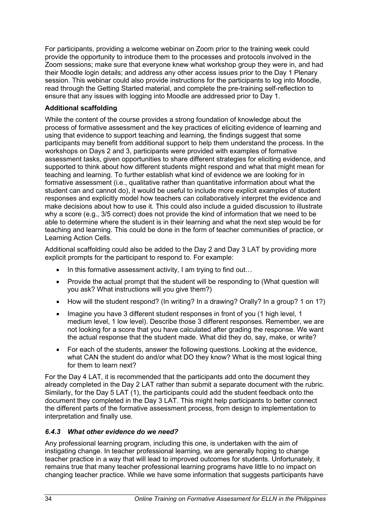For participants, providing a welcome webinar on Zoom prior to the training week could provide the opportunity to introduce them to the processes and protocols involved in the Zoom sessions; make sure that everyone knew what workshop group they were in, and had their Moodle login details; and address any other access issues prior to the Day 1 Plenary session. This webinar could also provide instructions for the participants to log into Moodle, read through the Getting Started material, and complete the pre-training self-reflection to ensure that any issues with logging into Moodle are addressed prior to Day 1.

### **Additional scaffolding**

While the content of the course provides a strong foundation of knowledge about the process of formative assessment and the key practices of eliciting evidence of learning and using that evidence to support teaching and learning, the findings suggest that some participants may benefit from additional support to help them understand the process. In the workshops on Days 2 and 3, participants were provided with examples of formative assessment tasks, given opportunities to share different strategies for eliciting evidence, and supported to think about how different students might respond and what that might mean for teaching and learning. To further establish what kind of evidence we are looking for in formative assessment (i.e., qualitative rather than quantitative information about what the student can and cannot do), it would be useful to include more explicit examples of student responses and explicitly model how teachers can collaboratively interpret the evidence and make decisions about how to use it. This could also include a guided discussion to illustrate why a score (e.g., 3/5 correct) does not provide the kind of information that we need to be able to determine where the student is in their learning and what the next step would be for teaching and learning. This could be done in the form of teacher communities of practice, or Learning Action Cells.

Additional scaffolding could also be added to the Day 2 and Day 3 LAT by providing more explicit prompts for the participant to respond to. For example:

- In this formative assessment activity, I am trying to find out...
- Provide the actual prompt that the student will be responding to (What question will you ask? What instructions will you give them?)
- How will the student respond? (In writing? In a drawing? Orally? In a group? 1 on 1?)
- Imagine you have 3 different student responses in front of you (1 high level, 1 medium level, 1 low level). Describe those 3 different responses. Remember, we are not looking for a score that you have calculated after grading the response. We want the actual response that the student made. What did they do, say, make, or write?
- For each of the students, answer the following questions. Looking at the evidence, what CAN the student do and/or what DO they know? What is the most logical thing for them to learn next?

For the Day 4 LAT, it is recommended that the participants add onto the document they already completed in the Day 2 LAT rather than submit a separate document with the rubric. Similarly, for the Day 5 LAT (1), the participants could add the student feedback onto the document they completed in the Day 3 LAT. This might help participants to better connect the different parts of the formative assessment process, from design to implementation to interpretation and finally use.

#### <span id="page-39-0"></span>*6.4.3 What other evidence do we need?*

Any professional learning program, including this one, is undertaken with the aim of instigating change. In teacher professional learning, we are generally hoping to change teacher practice in a way that will lead to improved outcomes for students. Unfortunately, it remains true that many teacher professional learning programs have little to no impact on changing teacher practice. While we have some information that suggests participants have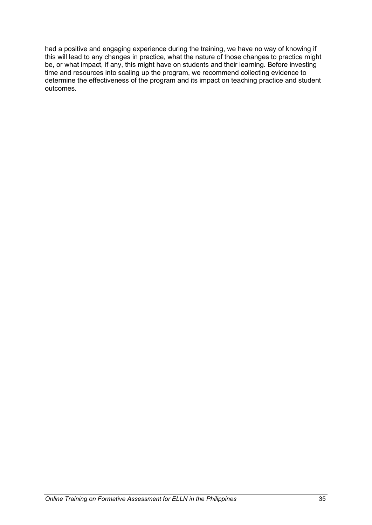had a positive and engaging experience during the training, we have no way of knowing if this will lead to any changes in practice, what the nature of those changes to practice might be, or what impact, if any, this might have on students and their learning. Before investing time and resources into scaling up the program, we recommend collecting evidence to determine the effectiveness of the program and its impact on teaching practice and student outcomes.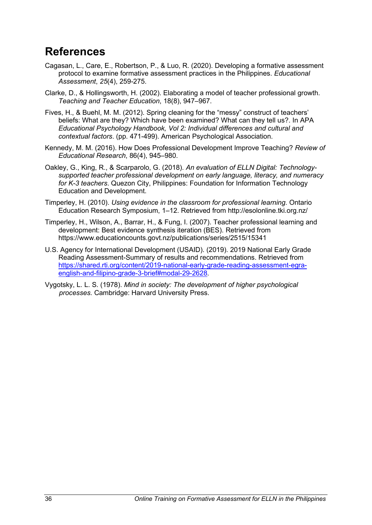## <span id="page-41-0"></span>**References**

- Cagasan, L., Care, E., Robertson, P., & Luo, R. (2020). Developing a formative assessment protocol to examine formative assessment practices in the Philippines. *Educational Assessment*, *25*(4), 259-275.
- Clarke, D., & Hollingsworth, H. (2002). Elaborating a model of teacher professional growth. *Teaching and Teacher Education*, 18(8), 947–967.
- Fives, H., & Buehl, M. M. (2012). Spring cleaning for the "messy" construct of teachers' beliefs: What are they? Which have been examined? What can they tell us?. In APA *Educational Psychology Handbook, Vol 2: Individual differences and cultural and contextual factors*. (pp. 471-499). American Psychological Association.
- Kennedy, M. M. (2016). How Does Professional Development Improve Teaching? *Review of Educational Research*, 86(4), 945–980.
- Oakley, G., King, R., & Scarparolo, G. (2018). *An evaluation of ELLN Digital: Technologysupported teacher professional development on early language, literacy, and numeracy for K-3 teachers*. Quezon City, Philippines: Foundation for Information Technology Education and Development.
- Timperley, H. (2010). *Using evidence in the classroom for professional learning*. Ontario Education Research Symposium, 1–12. Retrieved from http://esolonline.tki.org.nz/
- Timperley, H., Wilson, A., Barrar, H., & Fung, I. (2007). Teacher professional learning and development: Best evidence synthesis iteration (BES). Retrieved from https://www.educationcounts.govt.nz/publications/series/2515/15341
- U.S. Agency for International Development (USAID). (2019). 2019 National Early Grade Reading Assessment-Summary of results and recommendations. Retrieved from [https://shared.rti.org/content/2019-national-early-grade-reading-assessment-egra](https://shared.rti.org/content/2019-national-early-grade-reading-assessment-egra-english-and-filipino-grade-3-brief#modal-29-2628)[english-and-filipino-grade-3-brief#modal-29-2628.](https://shared.rti.org/content/2019-national-early-grade-reading-assessment-egra-english-and-filipino-grade-3-brief#modal-29-2628)
- Vygotsky, L. L. S. (1978). *Mind in society: The development of higher psychological processes*. Cambridge: Harvard University Press.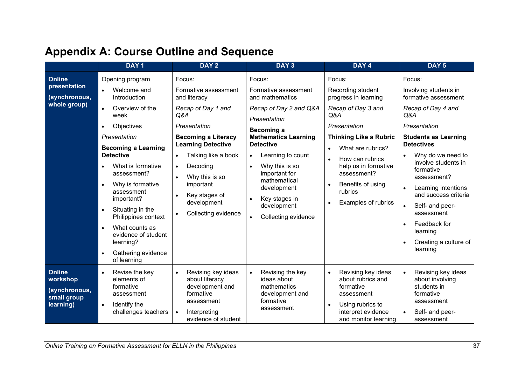<span id="page-42-0"></span>

|                                                                        | DAY <sub>1</sub>                                                      | DAY <sub>2</sub>                                                     | DAY <sub>3</sub>                                                               | DAY <sub>4</sub>                                                                | DAY <sub>5</sub>                                                  |  |
|------------------------------------------------------------------------|-----------------------------------------------------------------------|----------------------------------------------------------------------|--------------------------------------------------------------------------------|---------------------------------------------------------------------------------|-------------------------------------------------------------------|--|
| Online                                                                 | Opening program                                                       | Focus:                                                               | Focus:                                                                         | Focus:                                                                          | Focus:                                                            |  |
| presentation<br>(synchronous,                                          | Welcome and<br>Introduction                                           | Formative assessment<br>and literacy                                 | Formative assessment<br>and mathematics                                        | Recording student<br>progress in learning                                       | Involving students in<br>formative assessment                     |  |
| whole group)                                                           | $\bullet$<br>Overview of the<br>week                                  | Recap of Day 1 and<br>Q&A                                            | Recap of Day 2 and Q&A<br>Presentation                                         | Recap of Day 3 and<br>Q&A                                                       | Recap of Day 4 and<br>Q&A                                         |  |
|                                                                        | Objectives<br>$\bullet$                                               | Presentation                                                         | Becoming a                                                                     | Presentation                                                                    | Presentation                                                      |  |
|                                                                        | Presentation                                                          | <b>Becoming a Literacy</b>                                           | <b>Mathematics Learning</b>                                                    | <b>Thinking Like a Rubric</b>                                                   | <b>Students as Learning</b>                                       |  |
|                                                                        | <b>Becoming a Learning</b>                                            | <b>Learning Detective</b>                                            | <b>Detective</b>                                                               | What are rubrics?                                                               | <b>Detectives</b>                                                 |  |
|                                                                        | <b>Detective</b>                                                      | Talking like a book<br>$\bullet$                                     | Learning to count<br>$\bullet$                                                 | How can rubrics                                                                 | Why do we need to<br>involve students in                          |  |
|                                                                        | What is formative<br>assessment?                                      | Decoding<br>$\bullet$                                                | Why this is so<br>$\bullet$<br>important for<br>mathematical<br>development    | help us in formative<br>assessment?                                             | formative<br>assessment?                                          |  |
|                                                                        | Why is formative<br>$\bullet$                                         | Why this is so<br>important                                          |                                                                                | Benefits of using<br>$\bullet$                                                  | Learning intentions                                               |  |
|                                                                        | assessment<br>important?                                              | Key stages of                                                        | Key stages in                                                                  | rubrics                                                                         | and success criteria                                              |  |
|                                                                        | Situating in the<br>$\bullet$                                         | development                                                          | development<br>Collecting evidence                                             | <b>Examples of rubrics</b>                                                      | Self- and peer-                                                   |  |
|                                                                        | Philippines context                                                   | Collecting evidence                                                  |                                                                                |                                                                                 | assessment                                                        |  |
|                                                                        | What counts as<br>$\bullet$<br>evidence of student                    |                                                                      |                                                                                |                                                                                 | Feedback for<br>learning                                          |  |
|                                                                        | learning?                                                             |                                                                      |                                                                                |                                                                                 | Creating a culture of                                             |  |
|                                                                        | Gathering evidence<br>$\bullet$<br>of learning                        |                                                                      |                                                                                |                                                                                 | learning                                                          |  |
| <b>Online</b><br>workshop<br>(synchronous,<br>small group<br>learning) | Revise the key<br>$\bullet$<br>elements of<br>formative<br>assessment | Revising key ideas<br>about literacy<br>development and<br>formative | Revising the key<br>$\bullet$<br>ideas about<br>mathematics<br>development and | Revising key ideas<br>$\bullet$<br>about rubrics and<br>formative<br>assessment | Revising key ideas<br>about involving<br>students in<br>formative |  |
|                                                                        | Identify the<br>$\bullet$<br>challenges teachers                      | assessment<br>Interpreting<br>evidence of student                    | formative<br>assessment                                                        | Using rubrics to<br>$\bullet$<br>interpret evidence<br>and monitor learning     | assessment<br>Self- and peer-<br>assessment                       |  |

## **Appendix A: Course Outline and Sequence**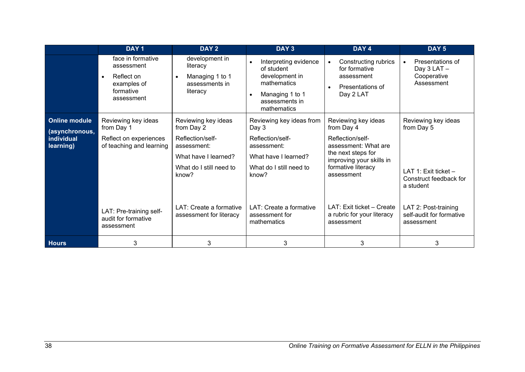|                                                                   | DAY <sub>1</sub>                                                                                     | DAY <sub>2</sub>                                                                                                                 | DAY <sub>3</sub>                                                                                                                      | DAY 4                                                                                                                                                               | DAY <sub>5</sub>                                                                                 |
|-------------------------------------------------------------------|------------------------------------------------------------------------------------------------------|----------------------------------------------------------------------------------------------------------------------------------|---------------------------------------------------------------------------------------------------------------------------------------|---------------------------------------------------------------------------------------------------------------------------------------------------------------------|--------------------------------------------------------------------------------------------------|
|                                                                   | face in formative<br>assessment<br>Reflect on<br>$\bullet$<br>examples of<br>formative<br>assessment | development in<br>literacy<br>Managing 1 to 1<br>assessments in<br>literacy                                                      | Interpreting evidence<br>of student<br>development in<br>mathematics<br>Managing 1 to 1<br>$\bullet$<br>assessments in<br>mathematics | <b>Constructing rubrics</b><br>$\bullet$<br>for formative<br>assessment<br>Presentations of<br>$\bullet$<br>Day 2 LAT                                               | Presentations of<br>$\bullet$<br>Day 3 LAT -<br>Cooperative<br>Assessment                        |
| <b>Online module</b><br>(asynchronous,<br>individual<br>learning) | Reviewing key ideas<br>from Day 1<br>Reflect on experiences<br>of teaching and learning              | Reviewing key ideas<br>from Day 2<br>Reflection/self-<br>assessment:<br>What have I learned?<br>What do I still need to<br>know? | Reviewing key ideas from<br>Day 3<br>Reflection/self-<br>assessment:<br>What have I learned?<br>What do I still need to<br>know?      | Reviewing key ideas<br>from Day 4<br>Reflection/self-<br>assessment: What are<br>the next steps for<br>improving your skills in<br>formative literacy<br>assessment | Reviewing key ideas<br>from Day 5<br>LAT 1: Exit ticket -<br>Construct feedback for<br>a student |
|                                                                   | LAT: Pre-training self-<br>audit for formative<br>assessment                                         | LAT: Create a formative<br>assessment for literacy                                                                               | LAT: Create a formative<br>assessment for<br>mathematics                                                                              | LAT: Exit ticket - Create<br>a rubric for your literacy<br>assessment                                                                                               | LAT 2: Post-training<br>self-audit for formative<br>assessment                                   |
| <b>Hours</b>                                                      | 3                                                                                                    | 3                                                                                                                                | 3                                                                                                                                     | 3                                                                                                                                                                   | 3                                                                                                |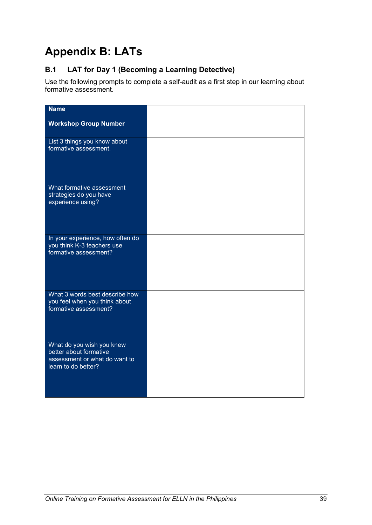## <span id="page-44-0"></span>**Appendix B: LATs**

## **B.1 LAT for Day 1 (Becoming a Learning Detective)**

Use the following prompts to complete a self-audit as a first step in our learning about formative assessment.

| <b>Name</b>                                                                                                 |  |
|-------------------------------------------------------------------------------------------------------------|--|
|                                                                                                             |  |
| <b>Workshop Group Number</b>                                                                                |  |
| List 3 things you know about<br>formative assessment.                                                       |  |
| What formative assessment<br>strategies do you have<br>experience using?                                    |  |
| In your experience, how often do<br>you think K-3 teachers use<br>formative assessment?                     |  |
| What 3 words best describe how<br>you feel when you think about<br>formative assessment?                    |  |
| What do you wish you knew<br>better about formative<br>assessment or what do want to<br>learn to do better? |  |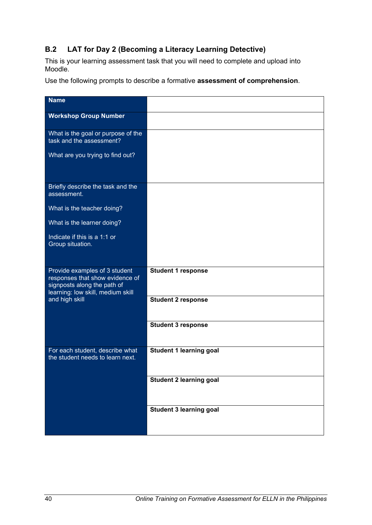## **B.2 LAT for Day 2 (Becoming a Literacy Learning Detective)**

This is your learning assessment task that you will need to complete and upload into Moodle.

Use the following prompts to describe a formative **assessment of comprehension**.

| <b>Name</b>                                                                                                                          |                                |
|--------------------------------------------------------------------------------------------------------------------------------------|--------------------------------|
| <b>Workshop Group Number</b>                                                                                                         |                                |
| What is the goal or purpose of the<br>task and the assessment?                                                                       |                                |
| What are you trying to find out?                                                                                                     |                                |
| Briefly describe the task and the<br>assessment.                                                                                     |                                |
| What is the teacher doing?                                                                                                           |                                |
| What is the learner doing?                                                                                                           |                                |
| Indicate if this is a 1:1 or<br>Group situation.                                                                                     |                                |
| Provide examples of 3 student<br>responses that show evidence of<br>signposts along the path of<br>learning: low skill, medium skill | <b>Student 1 response</b>      |
| and high skill                                                                                                                       | <b>Student 2 response</b>      |
|                                                                                                                                      | <b>Student 3 response</b>      |
| For each student, describe what<br>the student needs to learn next.                                                                  | <b>Student 1 learning goal</b> |
|                                                                                                                                      | <b>Student 2 learning goal</b> |
|                                                                                                                                      | Student 3 learning goal        |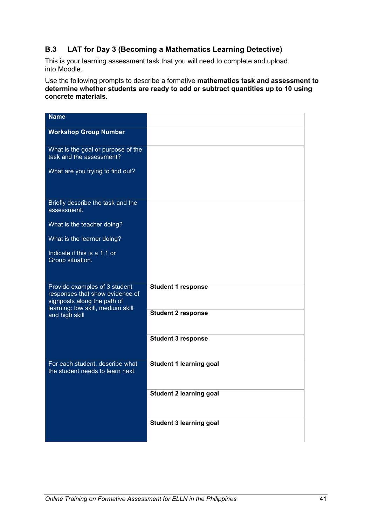## **B.3 LAT for Day 3 (Becoming a Mathematics Learning Detective)**

This is your learning assessment task that you will need to complete and upload into Moodle.

Use the following prompts to describe a formative **mathematics task and assessment to determine whether students are ready to add or subtract quantities up to 10 using concrete materials.**

| <b>Name</b>                                                                                                                          |                                |
|--------------------------------------------------------------------------------------------------------------------------------------|--------------------------------|
| <b>Workshop Group Number</b>                                                                                                         |                                |
| What is the goal or purpose of the<br>task and the assessment?                                                                       |                                |
| What are you trying to find out?                                                                                                     |                                |
| Briefly describe the task and the<br>assessment.                                                                                     |                                |
| What is the teacher doing?                                                                                                           |                                |
| What is the learner doing?                                                                                                           |                                |
| Indicate if this is a 1:1 or<br>Group situation.                                                                                     |                                |
| Provide examples of 3 student<br>responses that show evidence of<br>signposts along the path of<br>learning: low skill, medium skill | <b>Student 1 response</b>      |
| and high skill                                                                                                                       | <b>Student 2 response</b>      |
|                                                                                                                                      | <b>Student 3 response</b>      |
| For each student, describe what<br>the student needs to learn next.                                                                  | Student 1 learning goal        |
|                                                                                                                                      | <b>Student 2 learning goal</b> |
|                                                                                                                                      | <b>Student 3 learning goal</b> |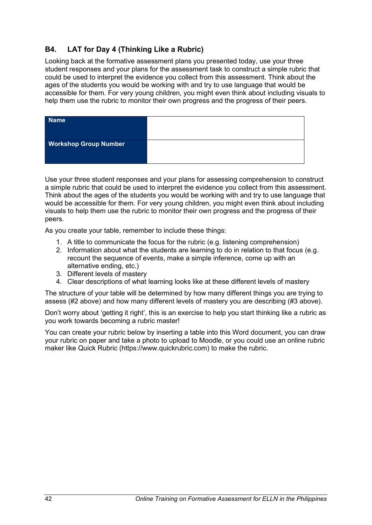## **B4. LAT for Day 4 (Thinking Like a Rubric)**

Looking back at the formative assessment plans you presented today, use your three student responses and your plans for the assessment task to construct a simple rubric that could be used to interpret the evidence you collect from this assessment. Think about the ages of the students you would be working with and try to use language that would be accessible for them. For very young children, you might even think about including visuals to help them use the rubric to monitor their own progress and the progress of their peers.

| <b>Name</b>                  |  |
|------------------------------|--|
| <b>Workshop Group Number</b> |  |

Use your three student responses and your plans for assessing comprehension to construct a simple rubric that could be used to interpret the evidence you collect from this assessment. Think about the ages of the students you would be working with and try to use language that would be accessible for them. For very young children, you might even think about including visuals to help them use the rubric to monitor their own progress and the progress of their peers.

As you create your table, remember to include these things:

- 1. A title to communicate the focus for the rubric (e.g. listening comprehension)
- 2. Information about what the students are learning to do in relation to that focus (e.g. recount the sequence of events, make a simple inference, come up with an alternative ending, etc.)
- 3. Different levels of mastery
- 4. Clear descriptions of what learning looks like at these different levels of mastery

The structure of your table will be determined by how many different things you are trying to assess (#2 above) and how many different levels of mastery you are describing (#3 above).

Don't worry about 'getting it right', this is an exercise to help you start thinking like a rubric as you work towards becoming a rubric master!

You can create your rubric below by inserting a table into this Word document, you can draw your rubric on paper and take a photo to upload to Moodle, or you could use an online rubric maker like Quick Rubric (https://www.quickrubric.com) to make the rubric.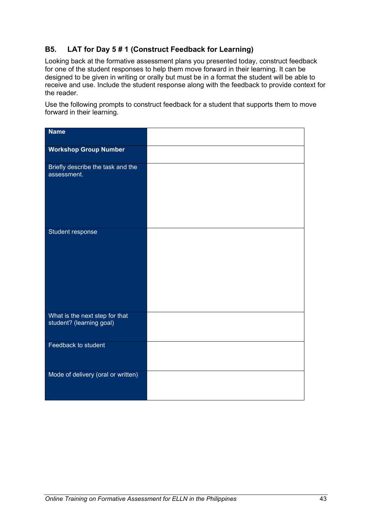## **B5. LAT for Day 5 # 1 (Construct Feedback for Learning)**

Looking back at the formative assessment plans you presented today, construct feedback for one of the student responses to help them move forward in their learning. It can be designed to be given in writing or orally but must be in a format the student will be able to receive and use. Include the student response along with the feedback to provide context for the reader.

Use the following prompts to construct feedback for a student that supports them to move forward in their learning.

| <b>Name</b>                                                |  |
|------------------------------------------------------------|--|
| <b>Workshop Group Number</b>                               |  |
| Briefly describe the task and the<br>assessment.           |  |
| Student response                                           |  |
| What is the next step for that<br>student? (learning goal) |  |
| Feedback to student                                        |  |
| Mode of delivery (oral or written)                         |  |